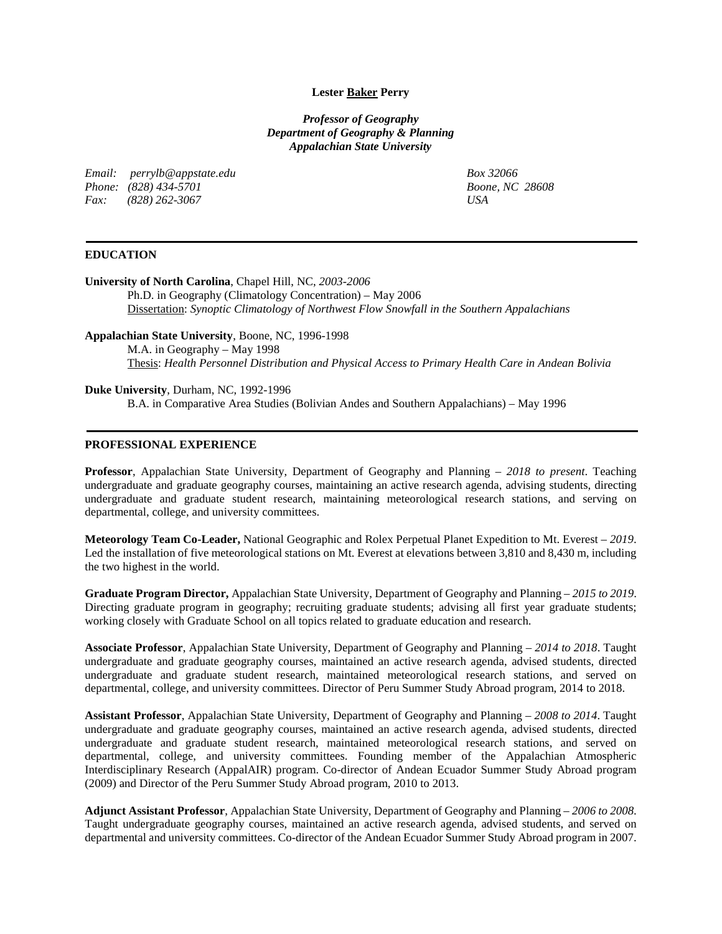## **Lester Baker Perry**

*Professor of Geography Department of Geography & Planning Appalachian State University*

*Email: perrylb@appstate.edu Phone: (828) 434-5701 Fax: (828) 262-3067*

*Box 32066 Boone, NC 28608 USA*

# **EDUCATION**

**University of North Carolina**, Chapel Hill, NC, *2003-2006* Ph.D. in Geography (Climatology Concentration) – May 2006 Dissertation: *Synoptic Climatology of Northwest Flow Snowfall in the Southern Appalachians*

**Appalachian State University**, Boone, NC, 1996-1998

M.A. in Geography – May 1998 Thesis: *Health Personnel Distribution and Physical Access to Primary Health Care in Andean Bolivia*

# **Duke University**, Durham, NC, 1992-1996

B.A. in Comparative Area Studies (Bolivian Andes and Southern Appalachians) – May 1996

## **PROFESSIONAL EXPERIENCE**

**Professor**, Appalachian State University, Department of Geography and Planning – *2018 to present*. Teaching undergraduate and graduate geography courses, maintaining an active research agenda, advising students, directing undergraduate and graduate student research, maintaining meteorological research stations, and serving on departmental, college, and university committees.

**Meteorology Team Co-Leader,** National Geographic and Rolex Perpetual Planet Expedition to Mt. Everest – *2019*. Led the installation of five meteorological stations on Mt. Everest at elevations between 3,810 and 8,430 m, including the two highest in the world.

**Graduate Program Director,** Appalachian State University, Department of Geography and Planning – *2015 to 2019*. Directing graduate program in geography; recruiting graduate students; advising all first year graduate students; working closely with Graduate School on all topics related to graduate education and research.

**Associate Professor**, Appalachian State University, Department of Geography and Planning – *2014 to 2018*. Taught undergraduate and graduate geography courses, maintained an active research agenda, advised students, directed undergraduate and graduate student research, maintained meteorological research stations, and served on departmental, college, and university committees. Director of Peru Summer Study Abroad program, 2014 to 2018.

**Assistant Professor**, Appalachian State University, Department of Geography and Planning – *2008 to 2014*. Taught undergraduate and graduate geography courses, maintained an active research agenda, advised students, directed undergraduate and graduate student research, maintained meteorological research stations, and served on departmental, college, and university committees. Founding member of the Appalachian Atmospheric Interdisciplinary Research (AppalAIR) program. Co-director of Andean Ecuador Summer Study Abroad program (2009) and Director of the Peru Summer Study Abroad program, 2010 to 2013.

**Adjunct Assistant Professor**, Appalachian State University, Department of Geography and Planning – *2006 to 2008*. Taught undergraduate geography courses, maintained an active research agenda, advised students, and served on departmental and university committees. Co-director of the Andean Ecuador Summer Study Abroad program in 2007.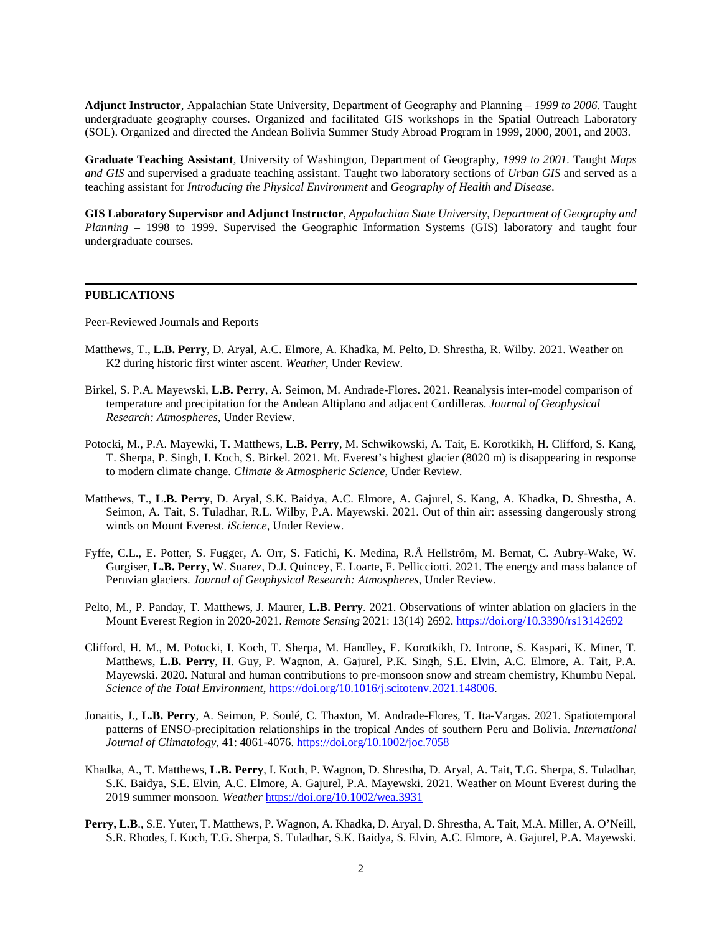**Adjunct Instructor**, Appalachian State University, Department of Geography and Planning – *1999 to 2006.* Taught undergraduate geography courses*.* Organized and facilitated GIS workshops in the Spatial Outreach Laboratory (SOL). Organized and directed the Andean Bolivia Summer Study Abroad Program in 1999, 2000, 2001, and 2003.

**Graduate Teaching Assistant***,* University of Washington, Department of Geography*, 1999 to 2001.* Taught *Maps and GIS* and supervised a graduate teaching assistant. Taught two laboratory sections of *Urban GIS* and served as a teaching assistant for *Introducing the Physical Environment* and *Geography of Health and Disease*.

**GIS Laboratory Supervisor and Adjunct Instructor***, Appalachian State University, Department of Geography and Planning –* 1998 to 1999. Supervised the Geographic Information Systems (GIS) laboratory and taught four undergraduate courses.

### **PUBLICATIONS**

#### Peer-Reviewed Journals and Reports

- Matthews, T., **L.B. Perry**, D. Aryal, A.C. Elmore, A. Khadka, M. Pelto, D. Shrestha, R. Wilby. 2021. Weather on K2 during historic first winter ascent. *Weather*, Under Review.
- Birkel, S. P.A. Mayewski, **L.B. Perry**, A. Seimon, M. Andrade-Flores. 2021. Reanalysis inter-model comparison of temperature and precipitation for the Andean Altiplano and adjacent Cordilleras. *Journal of Geophysical Research: Atmospheres*, Under Review.
- Potocki, M., P.A. Mayewki, T. Matthews, **L.B. Perry**, M. Schwikowski, A. Tait, E. Korotkikh, H. Clifford, S. Kang, T. Sherpa, P. Singh, I. Koch, S. Birkel. 2021. Mt. Everest's highest glacier (8020 m) is disappearing in response to modern climate change. *Climate & Atmospheric Science*, Under Review.
- Matthews, T., **L.B. Perry**, D. Aryal, S.K. Baidya, A.C. Elmore, A. Gajurel, S. Kang, A. Khadka, D. Shrestha, A. Seimon, A. Tait, S. Tuladhar, R.L. Wilby, P.A. Mayewski. 2021. Out of thin air: assessing dangerously strong winds on Mount Everest. *iScience*, Under Review.
- Fyffe, C.L., E. Potter, S. Fugger, A. Orr, S. Fatichi, K. Medina, R.Å Hellström, M. Bernat, C. Aubry-Wake, W. Gurgiser, **L.B. Perry**, W. Suarez, D.J. Quincey, E. Loarte, F. Pellicciotti. 2021. The energy and mass balance of Peruvian glaciers. *Journal of Geophysical Research: Atmospheres*, Under Review.
- Pelto, M., P. Panday, T. Matthews, J. Maurer, **L.B. Perry**. 2021. Observations of winter ablation on glaciers in the Mount Everest Region in 2020-2021. *Remote Sensing* 2021: 13(14) 2692.<https://doi.org/10.3390/rs13142692>
- Clifford, H. M., M. Potocki, I. Koch, T. Sherpa, M. Handley, E. Korotkikh, D. Introne, S. Kaspari, K. Miner, T. Matthews, **L.B. Perry**, H. Guy, P. Wagnon, A. Gajurel, P.K. Singh, S.E. Elvin, A.C. Elmore, A. Tait, P.A. Mayewski. 2020. Natural and human contributions to pre-monsoon snow and stream chemistry, Khumbu Nepal*. Science of the Total Environment*, [https://doi.org/10.1016/j.scitotenv.2021.148006.](https://doi.org/10.1016/j.scitotenv.2021.148006)
- Jonaitis, J., **L.B. Perry**, A. Seimon, P. Soulé, C. Thaxton, M. Andrade-Flores, T. Ita-Vargas. 2021. Spatiotemporal patterns of ENSO-precipitation relationships in the tropical Andes of southern Peru and Bolivia. *International Journal of Climatology*, 41: 4061-4076. <https://doi.org/10.1002/joc.7058>
- Khadka, A., T. Matthews, **L.B. Perry**, I. Koch, P. Wagnon, D. Shrestha, D. Aryal, A. Tait, T.G. Sherpa, S. Tuladhar, S.K. Baidya, S.E. Elvin, A.C. Elmore, A. Gajurel, P.A. Mayewski. 2021. Weather on Mount Everest during the 2019 summer monsoon. *Weather* <https://doi.org/10.1002/wea.3931>
- **Perry, L.B**., S.E. Yuter, T. Matthews, P. Wagnon, A. Khadka, D. Aryal, D. Shrestha, A. Tait, M.A. Miller, A. O'Neill, S.R. Rhodes, I. Koch, T.G. Sherpa, S. Tuladhar, S.K. Baidya, S. Elvin, A.C. Elmore, A. Gajurel, P.A. Mayewski.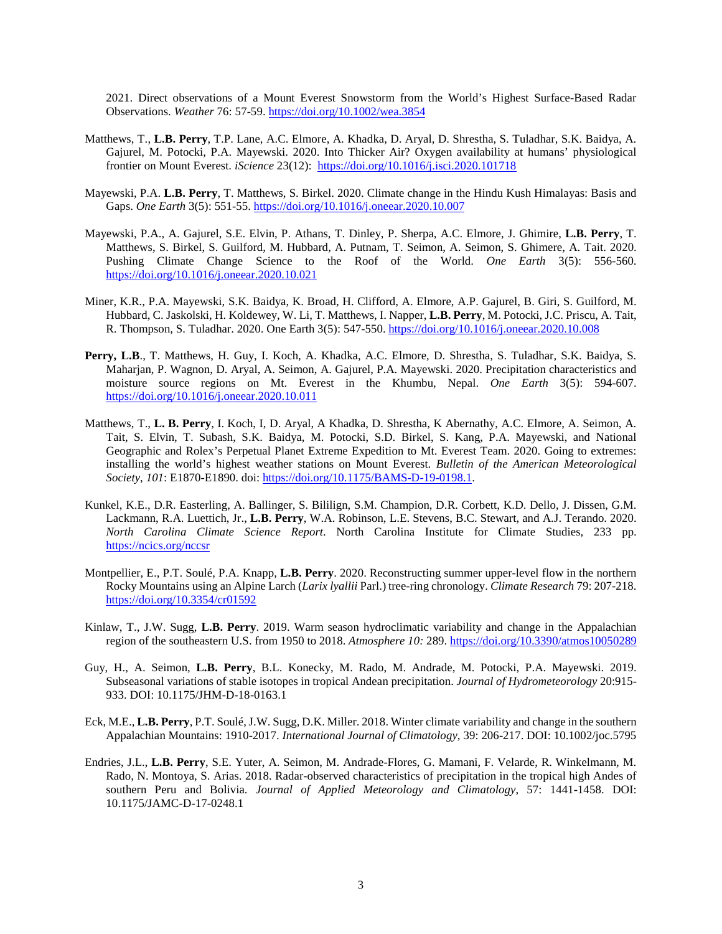2021. Direct observations of a Mount Everest Snowstorm from the World's Highest Surface-Based Radar Observations. *Weather* 76: 57-59.<https://doi.org/10.1002/wea.3854>

- Matthews, T., **L.B. Perry**, T.P. Lane, A.C. Elmore, A. Khadka, D. Aryal, D. Shrestha, S. Tuladhar, S.K. Baidya, A. Gajurel, M. Potocki, P.A. Mayewski. 2020. Into Thicker Air? Oxygen availability at humans' physiological frontier on Mount Everest. *iScience* 23(12): <https://doi.org/10.1016/j.isci.2020.101718>
- Mayewski, P.A. **L.B. Perry**, T. Matthews, S. Birkel. 2020. Climate change in the Hindu Kush Himalayas: Basis and Gaps. *One Earth* 3(5): 551-55.<https://doi.org/10.1016/j.oneear.2020.10.007>
- Mayewski, P.A., A. Gajurel, S.E. Elvin, P. Athans, T. Dinley, P. Sherpa, A.C. Elmore, J. Ghimire, **L.B. Perry**, T. Matthews, S. Birkel, S. Guilford, M. Hubbard, A. Putnam, T. Seimon, A. Seimon, S. Ghimere, A. Tait. 2020. Pushing Climate Change Science to the Roof of the World. *One Earth* 3(5): 556-560. <https://doi.org/10.1016/j.oneear.2020.10.021>
- Miner, K.R., P.A. Mayewski, S.K. Baidya, K. Broad, H. Clifford, A. Elmore, A.P. Gajurel, B. Giri, S. Guilford, M. Hubbard, C. Jaskolski, H. Koldewey, W. Li, T. Matthews, I. Napper, **L.B. Perry**, M. Potocki, J.C. Priscu, A. Tait, R. Thompson, S. Tuladhar. 2020. One Earth 3(5): 547-550. <https://doi.org/10.1016/j.oneear.2020.10.008>
- **Perry, L.B**., T. Matthews, H. Guy, I. Koch, A. Khadka, A.C. Elmore, D. Shrestha, S. Tuladhar, S.K. Baidya, S. Maharjan, P. Wagnon, D. Aryal, A. Seimon, A. Gajurel, P.A. Mayewski. 2020. Precipitation characteristics and moisture source regions on Mt. Everest in the Khumbu, Nepal. *One Earth* 3(5): 594-607. <https://doi.org/10.1016/j.oneear.2020.10.011>
- Matthews, T., **L. B. Perry**, I. Koch, I, D. Aryal, A Khadka, D. Shrestha, K Abernathy, A.C. Elmore, A. Seimon, A. Tait, S. Elvin, T. Subash, S.K. Baidya, M. Potocki, S.D. Birkel, S. Kang, P.A. Mayewski, and National Geographic and Rolex's Perpetual Planet Extreme Expedition to Mt. Everest Team. 2020. Going to extremes: installing the world's highest weather stations on Mount Everest. *Bulletin of the American Meteorological Society*, *101*: E1870-E1890. doi: [https://doi.org/10.1175/BAMS-D-19-0198.1.](https://doi.org/10.1175/BAMS-D-19-0198.1)
- Kunkel, K.E., D.R. Easterling, A. Ballinger, S. Bililign, S.M. Champion, D.R. Corbett, K.D. Dello, J. Dissen, G.M. Lackmann, R.A. Luettich, Jr., **L.B. Perry**, W.A. Robinson, L.E. Stevens, B.C. Stewart, and A.J. Terando. 2020. *North Carolina Climate Science Report*. North Carolina Institute for Climate Studies, 233 pp. <https://ncics.org/nccsr>
- Montpellier, E., P.T. Soulé, P.A. Knapp, **L.B. Perry**. 2020. Reconstructing summer upper-level flow in the northern Rocky Mountains using an Alpine Larch (*Larix lyallii* Parl.) tree-ring chronology. *Climate Research* 79: 207-218. <https://doi.org/10.3354/cr01592>
- Kinlaw, T., J.W. Sugg, **L.B. Perry**. 2019. Warm season hydroclimatic variability and change in the Appalachian region of the southeastern U.S. from 1950 to 2018. *Atmosphere 10:* 289. <https://doi.org/10.3390/atmos10050289>
- Guy, H., A. Seimon, **L.B. Perry**, B.L. Konecky, M. Rado, M. Andrade, M. Potocki, P.A. Mayewski. 2019. Subseasonal variations of stable isotopes in tropical Andean precipitation. *Journal of Hydrometeorology* 20:915- 933. DOI: 10.1175/JHM-D-18-0163.1
- Eck, M.E., **L.B. Perry**, P.T. Soulé, J.W. Sugg, D.K. Miller. 2018. Winter climate variability and change in the southern Appalachian Mountains: 1910-2017. *International Journal of Climatology*, 39: 206-217. DOI: 10.1002/joc.5795
- Endries, J.L., **L.B. Perry**, S.E. Yuter, A. Seimon, M. Andrade-Flores, G. Mamani, F. Velarde, R. Winkelmann, M. Rado, N. Montoya, S. Arias. 2018. Radar-observed characteristics of precipitation in the tropical high Andes of southern Peru and Bolivia. *Journal of Applied Meteorology and Climatology*, 57: 1441-1458. DOI: 10.1175/JAMC-D-17-0248.1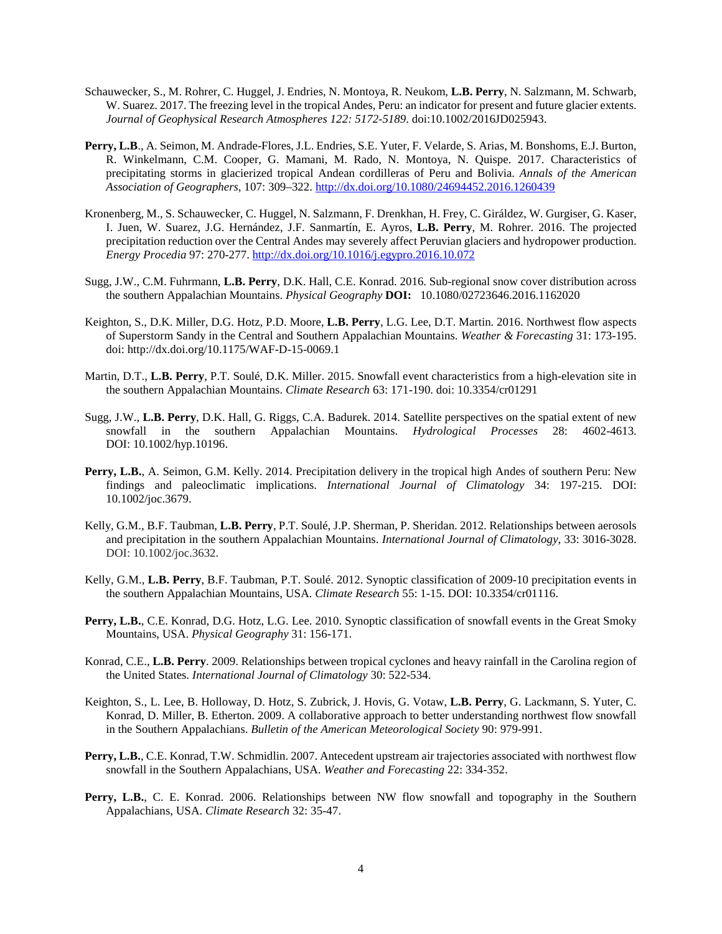- Schauwecker, S., M. Rohrer, C. Huggel, J. Endries, N. Montoya, R. Neukom, **L.B. Perry**, N. Salzmann, M. Schwarb, W. Suarez. 2017. The freezing level in the tropical Andes, Peru: an indicator for present and future glacier extents. *Journal of Geophysical Research Atmospheres 122: 5172-5189*. doi:10.1002/2016JD025943.
- **Perry, L.B**., A. Seimon, M. Andrade-Flores, J.L. Endries, S.E. Yuter, F. Velarde, S. Arias, M. Bonshoms, E.J. Burton, R. Winkelmann, C.M. Cooper, G. Mamani, M. Rado, N. Montoya, N. Quispe. 2017. Characteristics of precipitating storms in glacierized tropical Andean cordilleras of Peru and Bolivia. *Annals of the American Association of Geographers*, 107: 309–322[. http://dx.doi.org/10.1080/24694452.2016.1260439](http://dx.doi.org/10.1080/24694452.2016.1260439)
- Kronenberg, M., S. Schauwecker, C. Huggel, N. Salzmann, F. Drenkhan, H. Frey, C. Giráldez, W. Gurgiser, G. Kaser, I. Juen, W. Suarez, J.G. Hernández, J.F. Sanmartín, E. Ayros, **L.B. Perry**, M. Rohrer. 2016. The projected precipitation reduction over the Central Andes may severely affect Peruvian glaciers and hydropower production. *Energy Procedia* 97: 270-277. <http://dx.doi.org/10.1016/j.egypro.2016.10.072>
- Sugg, J.W., C.M. Fuhrmann, **L.B. Perry**, D.K. Hall, C.E. Konrad. 2016. Sub-regional snow cover distribution across the southern Appalachian Mountains. *Physical Geography* **DOI:** 10.1080/02723646.2016.1162020
- Keighton, S., D.K. Miller, D.G. Hotz, P.D. Moore, **L.B. Perry**, L.G. Lee, D.T. Martin. 2016. Northwest flow aspects of Superstorm Sandy in the Central and Southern Appalachian Mountains. *Weather & Forecasting* 31: 173-195. doi: http://dx.doi.org/10.1175/WAF-D-15-0069.1
- Martin, D.T., **L.B. Perry**, P.T. Soulé, D.K. Miller. 2015. Snowfall event characteristics from a high-elevation site in the southern Appalachian Mountains. *Climate Research* 63: 171-190. doi: 10.3354/cr01291
- Sugg, J.W., **L.B. Perry**, D.K. Hall, G. Riggs, C.A. Badurek. 2014. Satellite perspectives on the spatial extent of new snowfall in the southern Appalachian Mountains. *Hydrological Processes* 28: 4602-4613. DOI: 10.1002/hyp.10196.
- **Perry, L.B.**, A. Seimon, G.M. Kelly. 2014. Precipitation delivery in the tropical high Andes of southern Peru: New findings and paleoclimatic implications. *International Journal of Climatology* 34: 197-215. DOI: 10.1002/joc.3679.
- Kelly, G.M., B.F. Taubman, **L.B. Perry**, P.T. Soulé, J.P. Sherman, P. Sheridan. 2012. Relationships between aerosols and precipitation in the southern Appalachian Mountains. *International Journal of Climatology*, 33: 3016-3028. DOI: 10.1002/joc.3632.
- Kelly, G.M., **L.B. Perry**, B.F. Taubman, P.T. Soulé. 2012. Synoptic classification of 2009-10 precipitation events in the southern Appalachian Mountains, USA. *Climate Research* 55: 1-15. DOI: 10.3354/cr01116.
- **Perry, L.B.**, C.E. Konrad, D.G. Hotz, L.G. Lee. 2010. Synoptic classification of snowfall events in the Great Smoky Mountains, USA. *Physical Geography* 31: 156-171.
- Konrad, C.E., **L.B. Perry**. 2009. Relationships between tropical cyclones and heavy rainfall in the Carolina region of the United States. *International Journal of Climatology* 30: 522-534.
- Keighton, S., L. Lee, B. Holloway, D. Hotz, S. Zubrick, J. Hovis, G. Votaw, **L.B. Perry**, G. Lackmann, S. Yuter, C. Konrad, D. Miller, B. Etherton. 2009. A collaborative approach to better understanding northwest flow snowfall in the Southern Appalachians. *Bulletin of the American Meteorological Society* 90: 979-991.
- **Perry, L.B.**, C.E. Konrad, T.W. Schmidlin. 2007. Antecedent upstream air trajectories associated with northwest flow snowfall in the Southern Appalachians, USA. *Weather and Forecasting* 22: 334-352.
- **Perry, L.B.**, C. E. Konrad. 2006. Relationships between NW flow snowfall and topography in the Southern Appalachians, USA. *Climate Research* 32: 35-47.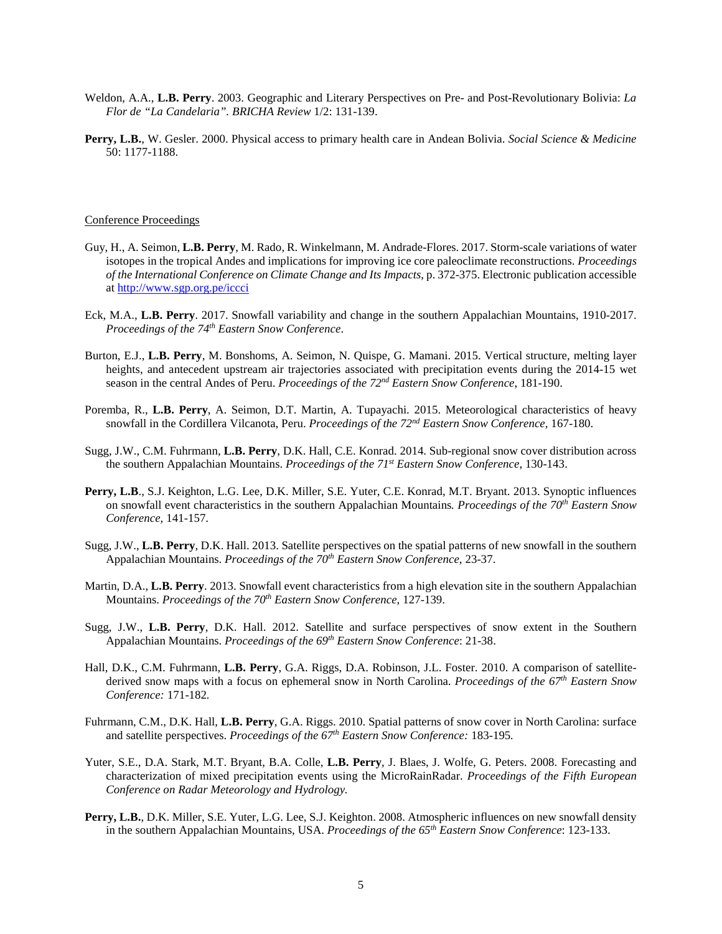- Weldon, A.A., **L.B. Perry**. 2003. Geographic and Literary Perspectives on Pre- and Post-Revolutionary Bolivia: *La Flor de "La Candelaria". BRICHA Review* 1/2: 131-139.
- **Perry, L.B.**, W. Gesler. 2000. Physical access to primary health care in Andean Bolivia. *Social Science & Medicine* 50: 1177-1188.

# Conference Proceedings

- Guy, H., A. Seimon, **L.B. Perry**, M. Rado, R. Winkelmann, M. Andrade-Flores. 2017. Storm-scale variations of water isotopes in the tropical Andes and implications for improving ice core paleoclimate reconstructions. *Proceedings of the International Conference on Climate Change and Its Impacts*, p. 372-375. Electronic publication accessible a[t http://www.sgp.org.pe/iccci](http://www.sgp.org.pe/iccci)
- Eck, M.A., **L.B. Perry**. 2017. Snowfall variability and change in the southern Appalachian Mountains, 1910-2017. *Proceedings of the 74th Eastern Snow Conference*.
- Burton, E.J., **L.B. Perry**, M. Bonshoms, A. Seimon, N. Quispe, G. Mamani. 2015. Vertical structure, melting layer heights, and antecedent upstream air trajectories associated with precipitation events during the 2014-15 wet season in the central Andes of Peru. *Proceedings of the 72nd Eastern Snow Conference*, 181-190.
- Poremba, R., **L.B. Perry**, A. Seimon, D.T. Martin, A. Tupayachi. 2015. Meteorological characteristics of heavy snowfall in the Cordillera Vilcanota, Peru. *Proceedings of the 72nd Eastern Snow Conference,* 167-180.
- Sugg, J.W., C.M. Fuhrmann, **L.B. Perry**, D.K. Hall, C.E. Konrad. 2014. Sub-regional snow cover distribution across the southern Appalachian Mountains. *Proceedings of the 71st Eastern Snow Conference*, 130-143.
- **Perry, L.B**., S.J. Keighton, L.G. Lee, D.K. Miller, S.E. Yuter, C.E. Konrad, M.T. Bryant. 2013. Synoptic influences on snowfall event characteristics in the southern Appalachian Mountains*. Proceedings of the 70th Eastern Snow Conference,* 141-157.
- Sugg, J.W., **L.B. Perry**, D.K. Hall. 2013. Satellite perspectives on the spatial patterns of new snowfall in the southern Appalachian Mountains. *Proceedings of the 70th Eastern Snow Conference*, 23-37.
- Martin, D.A., **L.B. Perry**. 2013. Snowfall event characteristics from a high elevation site in the southern Appalachian Mountains. *Proceedings of the 70th Eastern Snow Conference*, 127-139.
- Sugg, J.W., **L.B. Perry**, D.K. Hall. 2012. Satellite and surface perspectives of snow extent in the Southern Appalachian Mountains. *Proceedings of the 69th Eastern Snow Conference*: 21-38.
- Hall, D.K., C.M. Fuhrmann, **L.B. Perry**, G.A. Riggs, D.A. Robinson, J.L. Foster. 2010. A comparison of satellitederived snow maps with a focus on ephemeral snow in North Carolina. *Proceedings of the 67th Eastern Snow Conference:* 171-182*.*
- Fuhrmann, C.M., D.K. Hall, **L.B. Perry**, G.A. Riggs. 2010. Spatial patterns of snow cover in North Carolina: surface and satellite perspectives. *Proceedings of the 67th Eastern Snow Conference:* 183-195*.*
- Yuter, S.E., D.A. Stark, M.T. Bryant, B.A. Colle, **L.B. Perry**, J. Blaes, J. Wolfe, G. Peters. 2008. Forecasting and characterization of mixed precipitation events using the MicroRainRadar. *Proceedings of the Fifth European Conference on Radar Meteorology and Hydrology.*
- **Perry, L.B.**, D.K. Miller, S.E. Yuter, L.G. Lee, S.J. Keighton. 2008. Atmospheric influences on new snowfall density in the southern Appalachian Mountains, USA. *Proceedings of the 65th Eastern Snow Conference*: 123-133.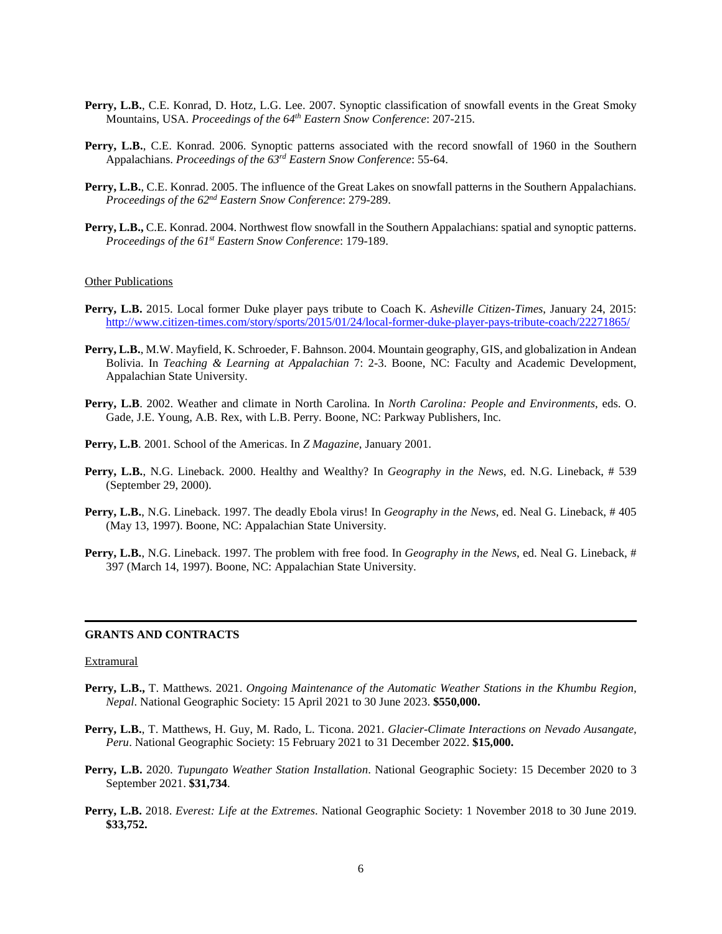- Perry, L.B., C.E. Konrad, D. Hotz, L.G. Lee. 2007. Synoptic classification of snowfall events in the Great Smoky Mountains, USA. *Proceedings of the 64th Eastern Snow Conference*: 207-215.
- **Perry, L.B.**, C.E. Konrad. 2006. Synoptic patterns associated with the record snowfall of 1960 in the Southern Appalachians. *Proceedings of the 63rd Eastern Snow Conference*: 55-64.
- **Perry, L.B.**, C.E. Konrad. 2005. The influence of the Great Lakes on snowfall patterns in the Southern Appalachians. *Proceedings of the 62nd Eastern Snow Conference*: 279-289.
- **Perry, L.B.,** C.E. Konrad. 2004. Northwest flow snowfall in the Southern Appalachians: spatial and synoptic patterns. *Proceedings of the 61st Eastern Snow Conference*: 179-189.

### **Other Publications**

- **Perry, L.B.** 2015. Local former Duke player pays tribute to Coach K. *Asheville Citizen-Times*, January 24, 2015: <http://www.citizen-times.com/story/sports/2015/01/24/local-former-duke-player-pays-tribute-coach/22271865/>
- **Perry, L.B.**, M.W. Mayfield, K. Schroeder, F. Bahnson. 2004. Mountain geography, GIS, and globalization in Andean Bolivia. In *Teaching & Learning at Appalachian* 7: 2-3. Boone, NC: Faculty and Academic Development, Appalachian State University.
- **Perry, L.B**. 2002. Weather and climate in North Carolina. In *North Carolina: People and Environments*, eds. O. Gade, J.E. Young, A.B. Rex, with L.B. Perry. Boone, NC: Parkway Publishers, Inc.
- **Perry, L.B**. 2001. School of the Americas. In *Z Magazine*, January 2001.
- **Perry, L.B.**, N.G. Lineback. 2000. Healthy and Wealthy? In *Geography in the News*, ed. N.G. Lineback, # 539 (September 29, 2000).
- **Perry, L.B.**, N.G. Lineback. 1997. The deadly Ebola virus! In *Geography in the News*, ed. Neal G. Lineback, # 405 (May 13, 1997). Boone, NC: Appalachian State University.
- **Perry, L.B.**, N.G. Lineback. 1997. The problem with free food. In *Geography in the News*, ed. Neal G. Lineback, # 397 (March 14, 1997). Boone, NC: Appalachian State University.

#### **GRANTS AND CONTRACTS**

#### **Extramural**

- **Perry, L.B.,** T. Matthews. 2021. *Ongoing Maintenance of the Automatic Weather Stations in the Khumbu Region, Nepal*. National Geographic Society: 15 April 2021 to 30 June 2023. **\$550,000.**
- **Perry, L.B.**, T. Matthews, H. Guy, M. Rado, L. Ticona. 2021. *Glacier-Climate Interactions on Nevado Ausangate, Peru*. National Geographic Society: 15 February 2021 to 31 December 2022. **\$15,000.**
- **Perry, L.B.** 2020. *Tupungato Weather Station Installation*. National Geographic Society: 15 December 2020 to 3 September 2021. **\$31,734**.
- **Perry, L.B.** 2018. *Everest: Life at the Extremes*. National Geographic Society: 1 November 2018 to 30 June 2019. **\$33,752.**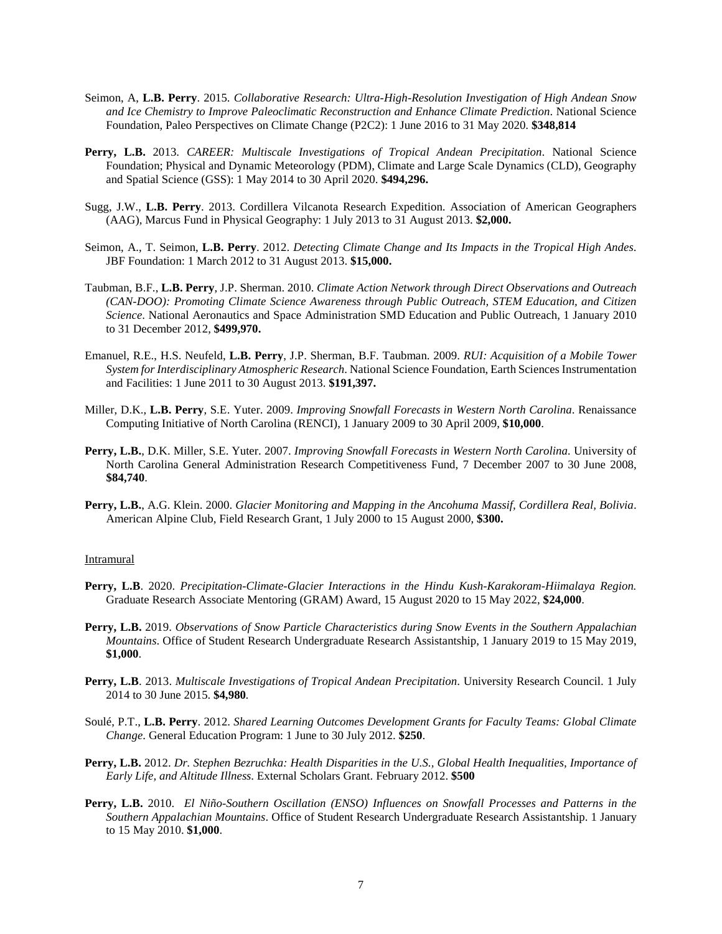- Seimon, A, **L.B. Perry**. 2015. *Collaborative Research: Ultra-High-Resolution Investigation of High Andean Snow and Ice Chemistry to Improve Paleoclimatic Reconstruction and Enhance Climate Prediction*. National Science Foundation, Paleo Perspectives on Climate Change (P2C2): 1 June 2016 to 31 May 2020*.* **\$348,814**
- **Perry, L.B.** 2013. *CAREER: Multiscale Investigations of Tropical Andean Precipitation*. National Science Foundation; Physical and Dynamic Meteorology (PDM), Climate and Large Scale Dynamics (CLD), Geography and Spatial Science (GSS): 1 May 2014 to 30 April 2020. **\$494,296.**
- Sugg, J.W., **L.B. Perry**. 2013. Cordillera Vilcanota Research Expedition. Association of American Geographers (AAG), Marcus Fund in Physical Geography: 1 July 2013 to 31 August 2013. **\$2,000.**
- Seimon, A., T. Seimon, **L.B. Perry**. 2012. *Detecting Climate Change and Its Impacts in the Tropical High Andes*. JBF Foundation: 1 March 2012 to 31 August 2013. **\$15,000.**
- Taubman, B.F., **L.B. Perry**, J.P. Sherman. 2010. *Climate Action Network through Direct Observations and Outreach (CAN-DOO): Promoting Climate Science Awareness through Public Outreach, STEM Education, and Citizen Science*. National Aeronautics and Space Administration SMD Education and Public Outreach, 1 January 2010 to 31 December 2012, **\$499,970.**
- Emanuel, R.E., H.S. Neufeld, **L.B. Perry**, J.P. Sherman, B.F. Taubman. 2009. *RUI: Acquisition of a Mobile Tower System for Interdisciplinary Atmospheric Research*. National Science Foundation, Earth Sciences Instrumentation and Facilities: 1 June 2011 to 30 August 2013. **\$191,397.**
- Miller, D.K., **L.B. Perry**, S.E. Yuter. 2009. *Improving Snowfall Forecasts in Western North Carolina*. Renaissance Computing Initiative of North Carolina (RENCI), 1 January 2009 to 30 April 2009, **\$10,000**.
- **Perry, L.B.**, D.K. Miller, S.E. Yuter. 2007. *Improving Snowfall Forecasts in Western North Carolina.* University of North Carolina General Administration Research Competitiveness Fund, 7 December 2007 to 30 June 2008, **\$84,740**.
- **Perry, L.B.**, A.G. Klein. 2000. *Glacier Monitoring and Mapping in the Ancohuma Massif, Cordillera Real, Bolivia*. American Alpine Club, Field Research Grant, 1 July 2000 to 15 August 2000, **\$300.**

#### Intramural

- **Perry, L.B**. 2020. *Precipitation-Climate-Glacier Interactions in the Hindu Kush-Karakoram-Hiimalaya Region.* Graduate Research Associate Mentoring (GRAM) Award, 15 August 2020 to 15 May 2022, **\$24,000**.
- **Perry, L.B.** 2019. *Observations of Snow Particle Characteristics during Snow Events in the Southern Appalachian Mountains*. Office of Student Research Undergraduate Research Assistantship, 1 January 2019 to 15 May 2019, **\$1,000**.
- **Perry, L.B**. 2013. *Multiscale Investigations of Tropical Andean Precipitation*. University Research Council. 1 July 2014 to 30 June 2015. **\$4,980***.*
- Soulé, P.T., **L.B. Perry**. 2012. *Shared Learning Outcomes Development Grants for Faculty Teams: Global Climate Change*. General Education Program: 1 June to 30 July 2012. **\$250**.
- **Perry, L.B.** 2012. *Dr. Stephen Bezruchka: Health Disparities in the U.S., Global Health Inequalities, Importance of Early Life, and Altitude Illness*. External Scholars Grant. February 2012. **\$500**
- **Perry, L.B.** 2010. *El Niño-Southern Oscillation (ENSO) Influences on Snowfall Processes and Patterns in the Southern Appalachian Mountains*. Office of Student Research Undergraduate Research Assistantship. 1 January to 15 May 2010. **\$1,000**.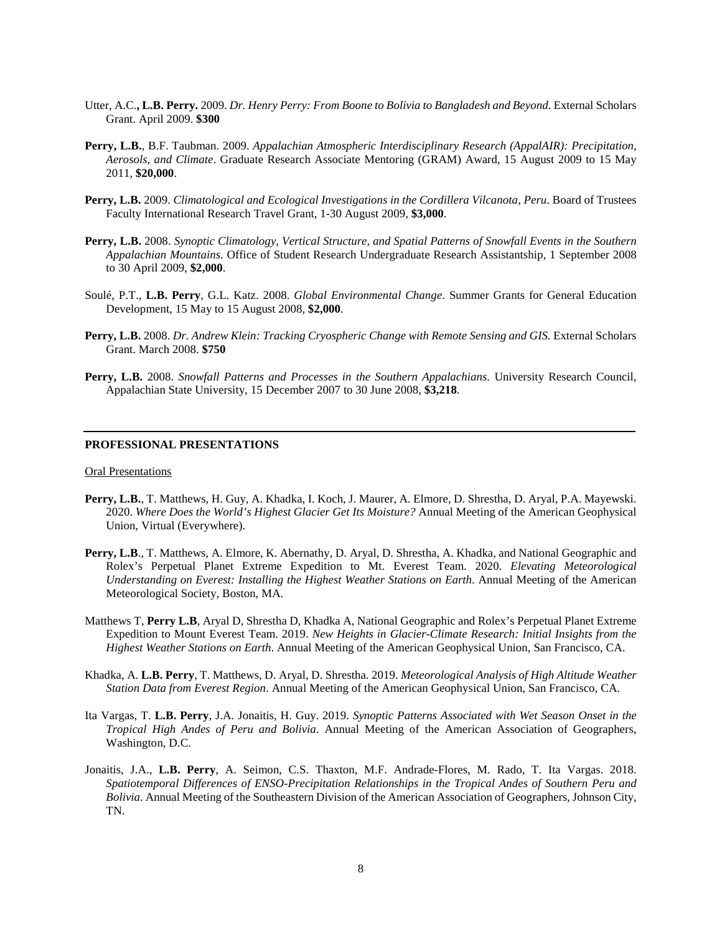- Utter, A.C.**, L.B. Perry.** 2009. *Dr. Henry Perry: From Boone to Bolivia to Bangladesh and Beyond*. External Scholars Grant. April 2009. **\$300**
- **Perry, L.B.**, B.F. Taubman. 2009. *Appalachian Atmospheric Interdisciplinary Research (AppalAIR): Precipitation, Aerosols, and Climate*. Graduate Research Associate Mentoring (GRAM) Award, 15 August 2009 to 15 May 2011, **\$20,000**.
- **Perry, L.B.** 2009. *Climatological and Ecological Investigations in the Cordillera Vilcanota, Peru*. Board of Trustees Faculty International Research Travel Grant, 1-30 August 2009, **\$3,000**.
- **Perry, L.B.** 2008. *Synoptic Climatology, Vertical Structure, and Spatial Patterns of Snowfall Events in the Southern Appalachian Mountains*. Office of Student Research Undergraduate Research Assistantship, 1 September 2008 to 30 April 2009, **\$2,000**.
- Soulé, P.T., **L.B. Perry**, G.L. Katz. 2008. *Global Environmental Change*. Summer Grants for General Education Development, 15 May to 15 August 2008, **\$2,000**.
- **Perry, L.B.** 2008. *Dr. Andrew Klein: Tracking Cryospheric Change with Remote Sensing and GIS*. External Scholars Grant. March 2008. **\$750**
- **Perry, L.B.** 2008. *Snowfall Patterns and Processes in the Southern Appalachians*. University Research Council, Appalachian State University, 15 December 2007 to 30 June 2008, **\$3,218**.

#### **PROFESSIONAL PRESENTATIONS**

#### Oral Presentations

- **Perry, L.B.**, T. Matthews, H. Guy, A. Khadka, I. Koch, J. Maurer, A. Elmore, D. Shrestha, D. Aryal, P.A. Mayewski. 2020. *Where Does the World's Highest Glacier Get Its Moisture?* Annual Meeting of the American Geophysical Union, Virtual (Everywhere).
- **Perry, L.B**., T. Matthews, A. Elmore, K. Abernathy, D. Aryal, D. Shrestha, A. Khadka, and National Geographic and Rolex's Perpetual Planet Extreme Expedition to Mt. Everest Team. 2020. *Elevating Meteorological Understanding on Everest: Installing the Highest Weather Stations on Earth*. Annual Meeting of the American Meteorological Society, Boston, MA.
- Matthews T, **Perry L.B**, Aryal D, Shrestha D, Khadka A, National Geographic and Rolex's Perpetual Planet Extreme Expedition to Mount Everest Team. 2019. *New Heights in Glacier-Climate Research: Initial Insights from the Highest Weather Stations on Earth*. Annual Meeting of the American Geophysical Union, San Francisco, CA.
- Khadka, A. **L.B. Perry**, T. Matthews, D. Aryal, D. Shrestha. 2019. *Meteorological Analysis of High Altitude Weather Station Data from Everest Region*. Annual Meeting of the American Geophysical Union, San Francisco, CA.
- Ita Vargas, T. **L.B. Perry**, J.A. Jonaitis, H. Guy. 2019. *Synoptic Patterns Associated with Wet Season Onset in the Tropical High Andes of Peru and Bolivia*. Annual Meeting of the American Association of Geographers, Washington, D.C.
- Jonaitis, J.A., **L.B. Perry**, A. Seimon, C.S. Thaxton, M.F. Andrade-Flores, M. Rado, T. Ita Vargas. 2018. *Spatiotemporal Differences of ENSO-Precipitation Relationships in the Tropical Andes of Southern Peru and Bolivia*. Annual Meeting of the Southeastern Division of the American Association of Geographers, Johnson City, TN.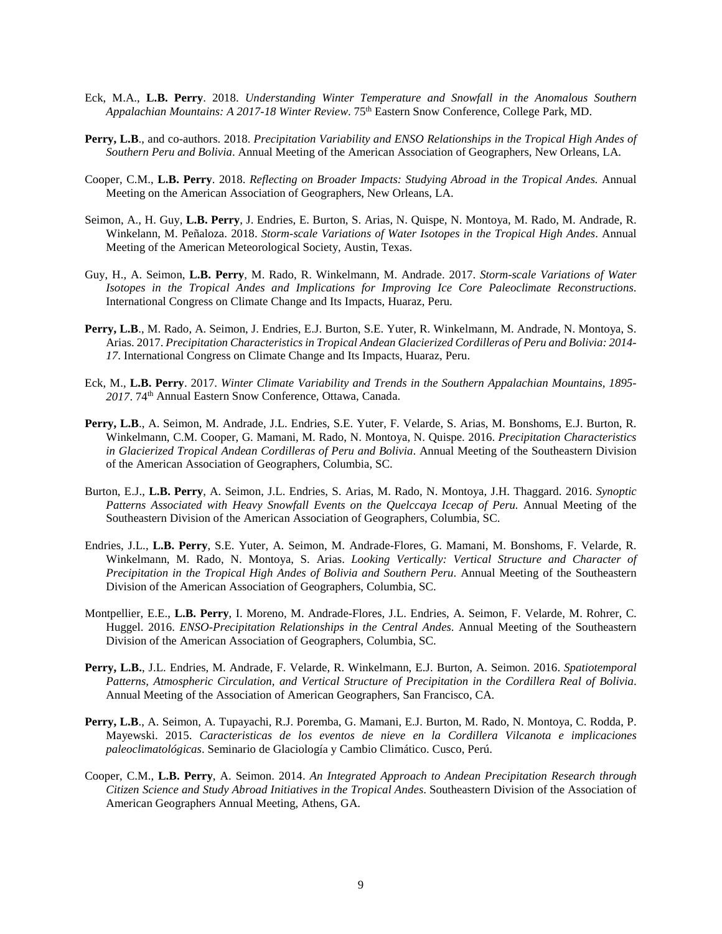- Eck, M.A., **L.B. Perry**. 2018. *Understanding Winter Temperature and Snowfall in the Anomalous Southern Appalachian Mountains: A 2017-18 Winter Review*. 75th Eastern Snow Conference, College Park, MD.
- **Perry, L.B**., and co-authors. 2018. *Precipitation Variability and ENSO Relationships in the Tropical High Andes of Southern Peru and Bolivia*. Annual Meeting of the American Association of Geographers, New Orleans, LA.
- Cooper, C.M., **L.B. Perry**. 2018. *Reflecting on Broader Impacts: Studying Abroad in the Tropical Andes.* Annual Meeting on the American Association of Geographers, New Orleans, LA.
- Seimon, A., H. Guy, **L.B. Perry**, J. Endries, E. Burton, S. Arias, N. Quispe, N. Montoya, M. Rado, M. Andrade, R. Winkelann, M. Peñaloza. 2018. *Storm-scale Variations of Water Isotopes in the Tropical High Andes*. Annual Meeting of the American Meteorological Society, Austin, Texas.
- Guy, H., A. Seimon, **L.B. Perry**, M. Rado, R. Winkelmann, M. Andrade. 2017. *Storm-scale Variations of Water Isotopes in the Tropical Andes and Implications for Improving Ice Core Paleoclimate Reconstructions*. International Congress on Climate Change and Its Impacts, Huaraz, Peru.
- **Perry, L.B**., M. Rado, A. Seimon, J. Endries, E.J. Burton, S.E. Yuter, R. Winkelmann, M. Andrade, N. Montoya, S. Arias. 2017. *Precipitation Characteristics in Tropical Andean Glacierized Cordilleras of Peru and Bolivia: 2014- 17*. International Congress on Climate Change and Its Impacts, Huaraz, Peru.
- Eck, M., **L.B. Perry**. 2017. *Winter Climate Variability and Trends in the Southern Appalachian Mountains, 1895- 2017*. 74th Annual Eastern Snow Conference, Ottawa, Canada.
- **Perry, L.B**., A. Seimon, M. Andrade, J.L. Endries, S.E. Yuter, F. Velarde, S. Arias, M. Bonshoms, E.J. Burton, R. Winkelmann, C.M. Cooper, G. Mamani, M. Rado, N. Montoya, N. Quispe. 2016. *Precipitation Characteristics in Glacierized Tropical Andean Cordilleras of Peru and Bolivia*. Annual Meeting of the Southeastern Division of the American Association of Geographers, Columbia, SC.
- Burton, E.J., **L.B. Perry**, A. Seimon, J.L. Endries, S. Arias, M. Rado, N. Montoya, J.H. Thaggard. 2016. *Synoptic Patterns Associated with Heavy Snowfall Events on the Quelccaya Icecap of Peru.* Annual Meeting of the Southeastern Division of the American Association of Geographers, Columbia, SC.
- Endries, J.L., **L.B. Perry**, S.E. Yuter, A. Seimon, M. Andrade-Flores, G. Mamani, M. Bonshoms, F. Velarde, R. Winkelmann, M. Rado, N. Montoya, S. Arias. *Looking Vertically: Vertical Structure and Character of Precipitation in the Tropical High Andes of Bolivia and Southern Peru*. Annual Meeting of the Southeastern Division of the American Association of Geographers, Columbia, SC.
- Montpellier, E.E., **L.B. Perry**, I. Moreno, M. Andrade-Flores, J.L. Endries, A. Seimon, F. Velarde, M. Rohrer, C. Huggel. 2016. *ENSO-Precipitation Relationships in the Central Andes*. Annual Meeting of the Southeastern Division of the American Association of Geographers, Columbia, SC.
- **Perry, L.B.**, J.L. Endries, M. Andrade, F. Velarde, R. Winkelmann, E.J. Burton, A. Seimon. 2016. *Spatiotemporal Patterns, Atmospheric Circulation, and Vertical Structure of Precipitation in the Cordillera Real of Bolivia*. Annual Meeting of the Association of American Geographers, San Francisco, CA.
- **Perry, L.B**., A. Seimon, A. Tupayachi, R.J. Poremba, G. Mamani, E.J. Burton, M. Rado, N. Montoya, C. Rodda, P. Mayewski. 2015. *Caracteristicas de los eventos de nieve en la Cordillera Vilcanota e implicaciones paleoclimatológicas*. Seminario de Glaciología y Cambio Climático. Cusco, Perú.
- Cooper, C.M., **L.B. Perry**, A. Seimon. 2014. *An Integrated Approach to Andean Precipitation Research through Citizen Science and Study Abroad Initiatives in the Tropical Andes*. Southeastern Division of the Association of American Geographers Annual Meeting, Athens, GA.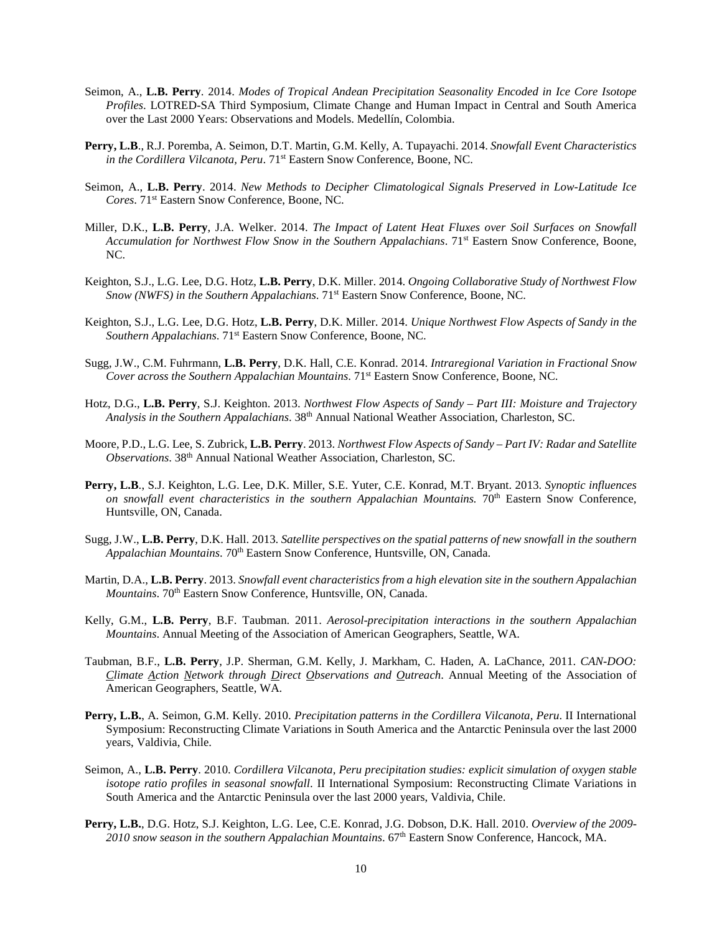- Seimon, A., **L.B. Perry**. 2014. *Modes of Tropical Andean Precipitation Seasonality Encoded in Ice Core Isotope Profiles*. LOTRED-SA Third Symposium, Climate Change and Human Impact in Central and South America over the Last 2000 Years: Observations and Models. Medellín, Colombia.
- **Perry, L.B**., R.J. Poremba, A. Seimon, D.T. Martin, G.M. Kelly, A. Tupayachi. 2014. *Snowfall Event Characteristics in the Cordillera Vilcanota, Peru*. 71st Eastern Snow Conference, Boone, NC.
- Seimon, A., **L.B. Perry**. 2014. *New Methods to Decipher Climatological Signals Preserved in Low-Latitude Ice Cores*. 71st Eastern Snow Conference, Boone, NC.
- Miller, D.K., **L.B. Perry**, J.A. Welker. 2014. *The Impact of Latent Heat Fluxes over Soil Surfaces on Snowfall Accumulation for Northwest Flow Snow in the Southern Appalachians*. 71st Eastern Snow Conference, Boone, NC.
- Keighton, S.J., L.G. Lee, D.G. Hotz, **L.B. Perry**, D.K. Miller. 2014. *Ongoing Collaborative Study of Northwest Flow Snow (NWFS) in the Southern Appalachians*. 71st Eastern Snow Conference, Boone, NC.
- Keighton, S.J., L.G. Lee, D.G. Hotz, **L.B. Perry**, D.K. Miller. 2014. *Unique Northwest Flow Aspects of Sandy in the Southern Appalachians*. 71st Eastern Snow Conference, Boone, NC.
- Sugg, J.W., C.M. Fuhrmann, **L.B. Perry**, D.K. Hall, C.E. Konrad. 2014. *Intraregional Variation in Fractional Snow Cover across the Southern Appalachian Mountains*. 71st Eastern Snow Conference, Boone, NC.
- Hotz, D.G., **L.B. Perry**, S.J. Keighton. 2013. *Northwest Flow Aspects of Sandy – Part III: Moisture and Trajectory Analysis in the Southern Appalachians*. 38th Annual National Weather Association, Charleston, SC.
- Moore, P.D., L.G. Lee, S. Zubrick, **L.B. Perry**. 2013. *Northwest Flow Aspects of Sandy – Part IV: Radar and Satellite Observations*. 38th Annual National Weather Association, Charleston, SC.
- **Perry, L.B**., S.J. Keighton, L.G. Lee, D.K. Miller, S.E. Yuter, C.E. Konrad, M.T. Bryant. 2013. *Synoptic influences on snowfall event characteristics in the southern Appalachian Mountains.*  $70<sup>th</sup>$  Eastern Snow Conference, Huntsville, ON, Canada.
- Sugg, J.W., **L.B. Perry**, D.K. Hall. 2013. *Satellite perspectives on the spatial patterns of new snowfall in the southern Appalachian Mountains*. 70th Eastern Snow Conference, Huntsville, ON, Canada.
- Martin, D.A., **L.B. Perry**. 2013. *Snowfall event characteristics from a high elevation site in the southern Appalachian Mountains*. 70<sup>th</sup> Eastern Snow Conference, Huntsville, ON, Canada.
- Kelly, G.M., **L.B. Perry**, B.F. Taubman. 2011. *Aerosol-precipitation interactions in the southern Appalachian Mountains*. Annual Meeting of the Association of American Geographers, Seattle, WA.
- Taubman, B.F., **L.B. Perry**, J.P. Sherman, G.M. Kelly, J. Markham, C. Haden, A. LaChance, 2011. *CAN-DOO: Climate Action Network through Direct Observations and Outreach*. Annual Meeting of the Association of American Geographers, Seattle, WA.
- **Perry, L.B.**, A. Seimon, G.M. Kelly. 2010. *Precipitation patterns in the Cordillera Vilcanota, Peru*. II International Symposium: Reconstructing Climate Variations in South America and the Antarctic Peninsula over the last 2000 years, Valdivia, Chile.
- Seimon, A., **L.B. Perry**. 2010. *Cordillera Vilcanota, Peru precipitation studies: explicit simulation of oxygen stable isotope ratio profiles in seasonal snowfall*. II International Symposium: Reconstructing Climate Variations in South America and the Antarctic Peninsula over the last 2000 years, Valdivia, Chile.
- **Perry, L.B.**, D.G. Hotz, S.J. Keighton, L.G. Lee, C.E. Konrad, J.G. Dobson, D.K. Hall. 2010. *Overview of the 2009- 2010 snow season in the southern Appalachian Mountains*. 67th Eastern Snow Conference, Hancock, MA.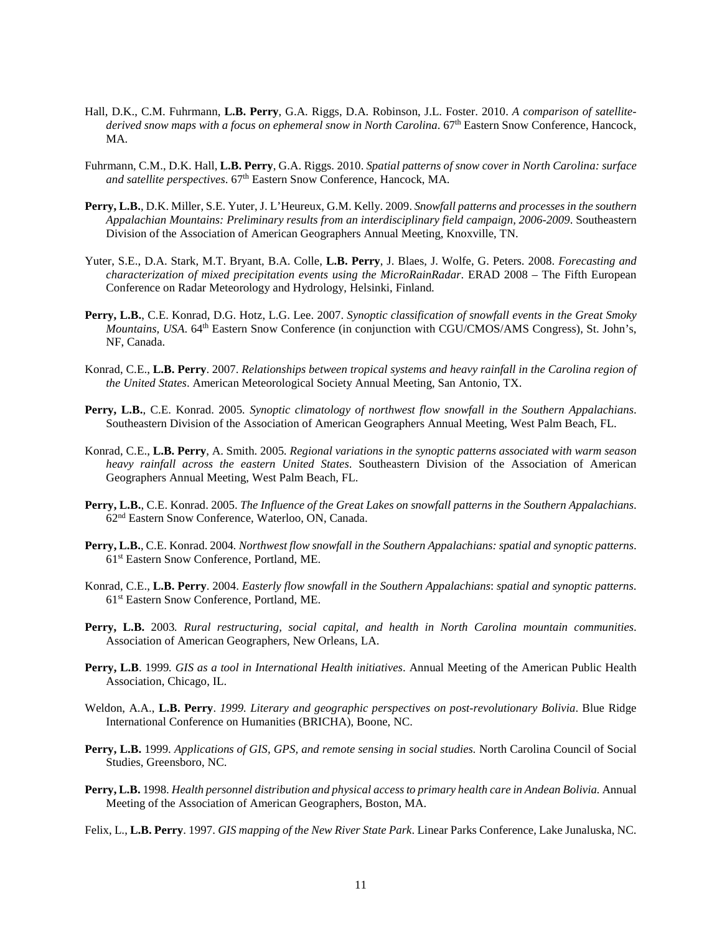- Hall, D.K., C.M. Fuhrmann, **L.B. Perry**, G.A. Riggs, D.A. Robinson, J.L. Foster. 2010. *A comparison of satellite*derived snow maps with a focus on ephemeral snow in North Carolina. 67<sup>th</sup> Eastern Snow Conference, Hancock, MA.
- Fuhrmann, C.M., D.K. Hall, **L.B. Perry**, G.A. Riggs. 2010. *Spatial patterns of snow cover in North Carolina: surface and satellite perspectives*. 67th Eastern Snow Conference, Hancock, MA.
- **Perry, L.B.**, D.K. Miller, S.E. Yuter, J. L'Heureux, G.M. Kelly. 2009. *Snowfall patterns and processes in the southern Appalachian Mountains: Preliminary results from an interdisciplinary field campaign, 2006-2009*. Southeastern Division of the Association of American Geographers Annual Meeting, Knoxville, TN.
- Yuter, S.E., D.A. Stark, M.T. Bryant, B.A. Colle, **L.B. Perry**, J. Blaes, J. Wolfe, G. Peters. 2008. *Forecasting and characterization of mixed precipitation events using the MicroRainRadar*. ERAD 2008 – The Fifth European Conference on Radar Meteorology and Hydrology, Helsinki, Finland*.*
- **Perry, L.B.**, C.E. Konrad, D.G. Hotz, L.G. Lee. 2007. *Synoptic classification of snowfall events in the Great Smoky Mountains, USA*. 64th Eastern Snow Conference (in conjunction with CGU/CMOS/AMS Congress), St. John's, NF, Canada.
- Konrad, C.E., **L.B. Perry**. 2007. *Relationships between tropical systems and heavy rainfall in the Carolina region of the United States*. American Meteorological Society Annual Meeting, San Antonio, TX.
- **Perry, L.B.**, C.E. Konrad. 2005*. Synoptic climatology of northwest flow snowfall in the Southern Appalachians*. Southeastern Division of the Association of American Geographers Annual Meeting, West Palm Beach, FL.
- Konrad, C.E., **L.B. Perry**, A. Smith. 2005*. Regional variations in the synoptic patterns associated with warm season heavy rainfall across the eastern United States*. Southeastern Division of the Association of American Geographers Annual Meeting, West Palm Beach, FL.
- **Perry, L.B.**, C.E. Konrad. 2005. *The Influence of the Great Lakes on snowfall patterns in the Southern Appalachians*. 62nd Eastern Snow Conference, Waterloo, ON, Canada.
- **Perry, L.B.**, C.E. Konrad. 2004*. Northwest flow snowfall in the Southern Appalachians: spatial and synoptic patterns*. 61st Eastern Snow Conference, Portland, ME.
- Konrad, C.E., **L.B. Perry**. 2004. *Easterly flow snowfall in the Southern Appalachians*: *spatial and synoptic patterns*. 61st Eastern Snow Conference, Portland, ME.
- **Perry, L.B.** 2003*. Rural restructuring, social capital, and health in North Carolina mountain communities*. Association of American Geographers, New Orleans, LA.
- **Perry, L.B**. 1999*. GIS as a tool in International Health initiatives*. Annual Meeting of the American Public Health Association, Chicago, IL.
- Weldon, A.A., **L.B. Perry**. *1999. Literary and geographic perspectives on post-revolutionary Bolivia*. Blue Ridge International Conference on Humanities (BRICHA), Boone, NC.
- **Perry, L.B.** 1999. *Applications of GIS, GPS, and remote sensing in social studies.* North Carolina Council of Social Studies, Greensboro, NC.
- **Perry, L.B.** 1998*. Health personnel distribution and physical access to primary health care in Andean Bolivia.* Annual Meeting of the Association of American Geographers, Boston, MA.
- Felix, L., **L.B. Perry**. 1997. *GIS mapping of the New River State Park*. Linear Parks Conference, Lake Junaluska, NC.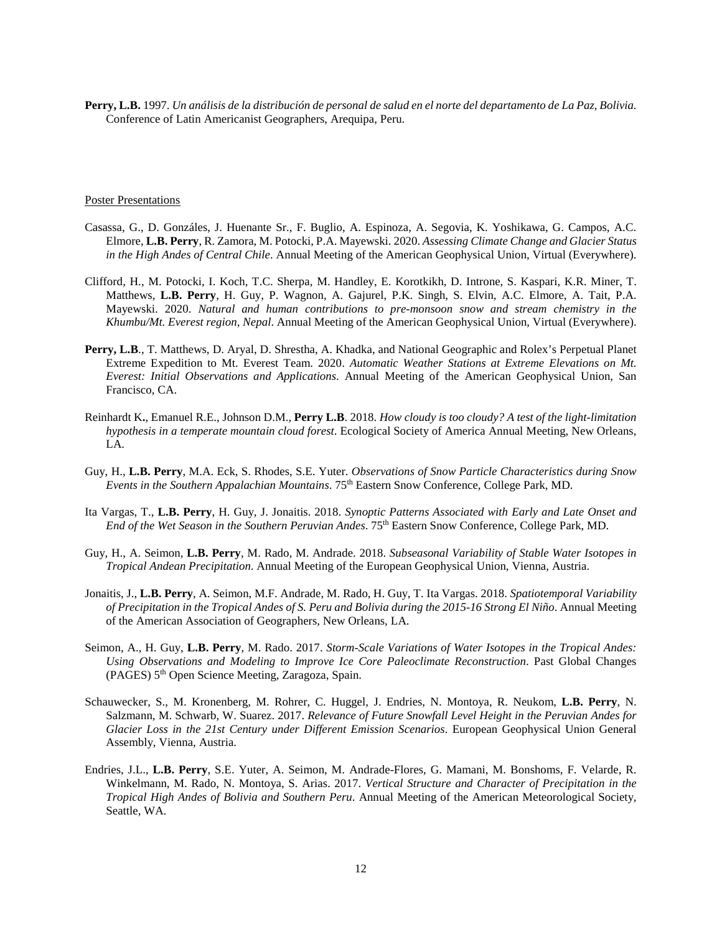**Perry, L.B.** 1997. *Un análisis de la distribución de personal de salud en el norte del departamento de La Paz, Bolivia.*  Conference of Latin Americanist Geographers, Arequipa, Peru.

### Poster Presentations

- Casassa, G., D. Gonzáles, J. Huenante Sr., F. Buglio, A. Espinoza, A. Segovia, K. Yoshikawa, G. Campos, A.C. Elmore, **L.B. Perry**, R. Zamora, M. Potocki, P.A. Mayewski. 2020. *Assessing Climate Change and Glacier Status in the High Andes of Central Chile*. Annual Meeting of the American Geophysical Union, Virtual (Everywhere).
- Clifford, H., M. Potocki, I. Koch, T.C. Sherpa, M. Handley, E. Korotkikh, D. Introne, S. Kaspari, K.R. Miner, T. Matthews, **L.B. Perry**, H. Guy, P. Wagnon, A. Gajurel, P.K. Singh, S. Elvin, A.C. Elmore, A. Tait, P.A. Mayewski. 2020. *Natural and human contributions to pre-monsoon snow and stream chemistry in the Khumbu/Mt. Everest region, Nepal*. Annual Meeting of the American Geophysical Union, Virtual (Everywhere).
- **Perry, L.B**., T. Matthews, D. Aryal, D. Shrestha, A. Khadka, and National Geographic and Rolex's Perpetual Planet Extreme Expedition to Mt. Everest Team. 2020. *Automatic Weather Stations at Extreme Elevations on Mt. Everest: Initial Observations and Applications*. Annual Meeting of the American Geophysical Union, San Francisco, CA.
- Reinhardt K**.**, Emanuel R.E., Johnson D.M., **Perry L.B**. 2018. *How cloudy is too cloudy? A test of the light-limitation hypothesis in a temperate mountain cloud forest*. Ecological Society of America Annual Meeting, New Orleans, LA.
- Guy, H., **L.B. Perry**, M.A. Eck, S. Rhodes, S.E. Yuter. *Observations of Snow Particle Characteristics during Snow Events in the Southern Appalachian Mountains*. 75th Eastern Snow Conference, College Park, MD.
- Ita Vargas, T., **L.B. Perry**, H. Guy, J. Jonaitis. 2018. *Synoptic Patterns Associated with Early and Late Onset and End of the Wet Season in the Southern Peruvian Andes*. 75th Eastern Snow Conference, College Park, MD.
- Guy, H., A. Seimon, **L.B. Perry**, M. Rado, M. Andrade. 2018. *Subseasonal Variability of Stable Water Isotopes in Tropical Andean Precipitation*. Annual Meeting of the European Geophysical Union, Vienna, Austria.
- Jonaitis, J., **L.B. Perry**, A. Seimon, M.F. Andrade, M. Rado, H. Guy, T. Ita Vargas. 2018. *Spatiotemporal Variability of Precipitation in the Tropical Andes of S. Peru and Bolivia during the 2015-16 Strong El Niño*. Annual Meeting of the American Association of Geographers, New Orleans, LA.
- Seimon, A., H. Guy, **L.B. Perry**, M. Rado. 2017. *Storm-Scale Variations of Water Isotopes in the Tropical Andes: Using Observations and Modeling to Improve Ice Core Paleoclimate Reconstruction*. Past Global Changes (PAGES) 5th Open Science Meeting, Zaragoza, Spain.
- Schauwecker, S., M. Kronenberg, M. Rohrer, C. Huggel, J. Endries, N. Montoya, R. Neukom, **L.B. Perry**, N. Salzmann, M. Schwarb, W. Suarez. 2017. *Relevance of Future Snowfall Level Height in the Peruvian Andes for Glacier Loss in the 21st Century under Different Emission Scenarios*. European Geophysical Union General Assembly, Vienna, Austria.
- Endries, J.L., **L.B. Perry**, S.E. Yuter, A. Seimon, M. Andrade-Flores, G. Mamani, M. Bonshoms, F. Velarde, R. Winkelmann, M. Rado, N. Montoya, S. Arias. 2017. *Vertical Structure and Character of Precipitation in the Tropical High Andes of Bolivia and Southern Peru*. Annual Meeting of the American Meteorological Society, Seattle, WA.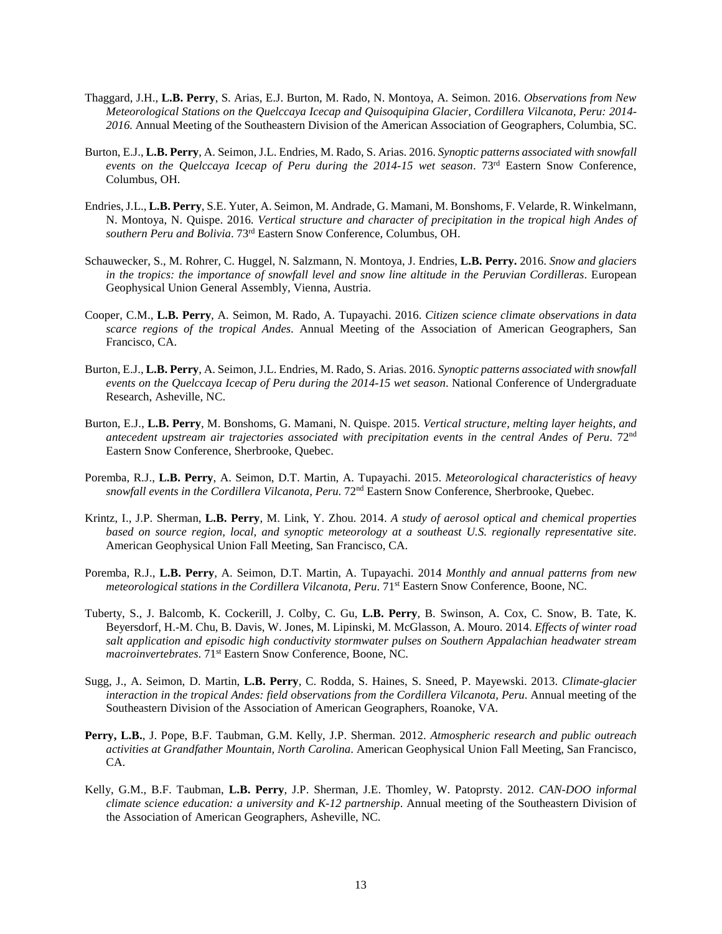- Thaggard, J.H., **L.B. Perry**, S. Arias, E.J. Burton, M. Rado, N. Montoya, A. Seimon. 2016. *Observations from New Meteorological Stations on the Quelccaya Icecap and Quisoquipina Glacier, Cordillera Vilcanota, Peru: 2014- 2016.* Annual Meeting of the Southeastern Division of the American Association of Geographers, Columbia, SC.
- Burton, E.J., **L.B. Perry**, A. Seimon, J.L. Endries, M. Rado, S. Arias. 2016. *Synoptic patterns associated with snowfall events on the Quelccaya Icecap of Peru during the 2014-15 wet season*. 73rd Eastern Snow Conference, Columbus, OH.
- Endries, J.L., **L.B. Perry**, S.E. Yuter, A. Seimon, M. Andrade, G. Mamani, M. Bonshoms, F. Velarde, R. Winkelmann, N. Montoya, N. Quispe. 2016. *Vertical structure and character of precipitation in the tropical high Andes of southern Peru and Bolivia*. 73rd Eastern Snow Conference, Columbus, OH.
- Schauwecker, S., M. Rohrer, C. Huggel, N. Salzmann, N. Montoya, J. Endries, **L.B. Perry.** 2016. *Snow and glaciers in the tropics: the importance of snowfall level and snow line altitude in the Peruvian Cordilleras*. European Geophysical Union General Assembly, Vienna, Austria.
- Cooper, C.M., **L.B. Perry**, A. Seimon, M. Rado, A. Tupayachi. 2016. *Citizen science climate observations in data scarce regions of the tropical Andes*. Annual Meeting of the Association of American Geographers, San Francisco, CA.
- Burton, E.J., **L.B. Perry**, A. Seimon, J.L. Endries, M. Rado, S. Arias. 2016. *Synoptic patterns associated with snowfall events on the Quelccaya Icecap of Peru during the 2014-15 wet season*. National Conference of Undergraduate Research, Asheville, NC.
- Burton, E.J., **L.B. Perry**, M. Bonshoms, G. Mamani, N. Quispe. 2015. *Vertical structure, melting layer heights, and antecedent upstream air trajectories associated with precipitation events in the central Andes of Peru*. 72nd Eastern Snow Conference, Sherbrooke, Quebec.
- Poremba, R.J., **L.B. Perry**, A. Seimon, D.T. Martin, A. Tupayachi. 2015. *Meteorological characteristics of heavy snowfall events in the Cordillera Vilcanota, Peru*. 72nd Eastern Snow Conference, Sherbrooke, Quebec.
- Krintz, I., J.P. Sherman, **L.B. Perry**, M. Link, Y. Zhou. 2014. *A study of aerosol optical and chemical properties based on source region, local, and synoptic meteorology at a southeast U.S. regionally representative site*. American Geophysical Union Fall Meeting, San Francisco, CA.
- Poremba, R.J., **L.B. Perry**, A. Seimon, D.T. Martin, A. Tupayachi. 2014 *Monthly and annual patterns from new meteorological stations in the Cordillera Vilcanota, Peru*. 71st Eastern Snow Conference, Boone, NC.
- Tuberty, S., J. Balcomb, K. Cockerill, J. Colby, C. Gu, **L.B. Perry**, B. Swinson, A. Cox, C. Snow, B. Tate, K. Beyersdorf, H.-M. Chu, B. Davis, W. Jones, M. Lipinski, M. McGlasson, A. Mouro. 2014. *Effects of winter road salt application and episodic high conductivity stormwater pulses on Southern Appalachian headwater stream macroinvertebrates*. 71st Eastern Snow Conference, Boone, NC.
- Sugg, J., A. Seimon, D. Martin, **L.B. Perry**, C. Rodda, S. Haines, S. Sneed, P. Mayewski. 2013. *Climate-glacier interaction in the tropical Andes: field observations from the Cordillera Vilcanota, Peru*. Annual meeting of the Southeastern Division of the Association of American Geographers, Roanoke, VA.
- **Perry, L.B.**, J. Pope, B.F. Taubman, G.M. Kelly, J.P. Sherman. 2012. *Atmospheric research and public outreach activities at Grandfather Mountain, North Carolina*. American Geophysical Union Fall Meeting, San Francisco, CA.
- Kelly, G.M., B.F. Taubman, **L.B. Perry**, J.P. Sherman, J.E. Thomley, W. Patoprsty. 2012. *CAN-DOO informal climate science education: a university and K-12 partnership*. Annual meeting of the Southeastern Division of the Association of American Geographers, Asheville, NC.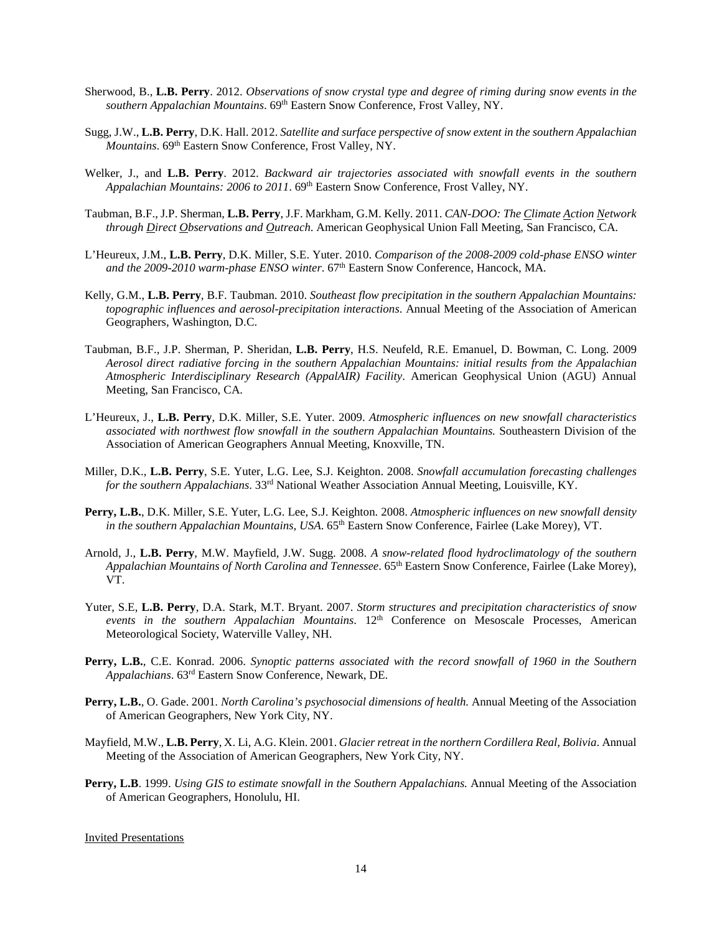- Sherwood, B., **L.B. Perry**. 2012. *Observations of snow crystal type and degree of riming during snow events in the southern Appalachian Mountains*. 69th Eastern Snow Conference, Frost Valley, NY.
- Sugg, J.W., **L.B. Perry**, D.K. Hall. 2012. *Satellite and surface perspective of snow extent in the southern Appalachian Mountains*. 69<sup>th</sup> Eastern Snow Conference, Frost Valley, NY.
- Welker, J., and **L.B. Perry**. 2012. *Backward air trajectories associated with snowfall events in the southern Appalachian Mountains: 2006 to 2011*. 69th Eastern Snow Conference, Frost Valley, NY.
- Taubman, B.F., J.P. Sherman, **L.B. Perry**, J.F. Markham, G.M. Kelly. 2011. *CAN-DOO: The Climate Action Network through Direct Observations and Outreach*. American Geophysical Union Fall Meeting, San Francisco, CA.
- L'Heureux, J.M., **L.B. Perry**, D.K. Miller, S.E. Yuter. 2010. *Comparison of the 2008-2009 cold-phase ENSO winter and the 2009-2010 warm-phase ENSO winter*. 67th Eastern Snow Conference, Hancock, MA.
- Kelly, G.M., **L.B. Perry**, B.F. Taubman. 2010. *Southeast flow precipitation in the southern Appalachian Mountains: topographic influences and aerosol-precipitation interactions*. Annual Meeting of the Association of American Geographers, Washington, D.C.
- Taubman, B.F., J.P. Sherman, P. Sheridan, **L.B. Perry**, H.S. Neufeld, R.E. Emanuel, D. Bowman, C. Long. 2009 *Aerosol direct radiative forcing in the southern Appalachian Mountains: initial results from the Appalachian Atmospheric Interdisciplinary Research (AppalAIR) Facility*. American Geophysical Union (AGU) Annual Meeting, San Francisco, CA.
- L'Heureux, J., **L.B. Perry**, D.K. Miller, S.E. Yuter. 2009. *Atmospheric influences on new snowfall characteristics associated with northwest flow snowfall in the southern Appalachian Mountains.* Southeastern Division of the Association of American Geographers Annual Meeting, Knoxville, TN.
- Miller, D.K., **L.B. Perry**, S.E. Yuter, L.G. Lee, S.J. Keighton. 2008. *Snowfall accumulation forecasting challenges for the southern Appalachians*. 33rd National Weather Association Annual Meeting, Louisville, KY.
- **Perry, L.B.**, D.K. Miller, S.E. Yuter, L.G. Lee, S.J. Keighton. 2008. *Atmospheric influences on new snowfall density in the southern Appalachian Mountains, USA.* 65<sup>th</sup> Eastern Snow Conference, Fairlee (Lake Morey), VT.
- Arnold, J., **L.B. Perry**, M.W. Mayfield, J.W. Sugg. 2008. *A snow-related flood hydroclimatology of the southern Appalachian Mountains of North Carolina and Tennessee*. 65th Eastern Snow Conference, Fairlee (Lake Morey), VT.
- Yuter, S.E, **L.B. Perry**, D.A. Stark, M.T. Bryant. 2007. *Storm structures and precipitation characteristics of snow events in the southern Appalachian Mountains*. 12th Conference on Mesoscale Processes, American Meteorological Society, Waterville Valley, NH.
- **Perry, L.B.**, C.E. Konrad. 2006. *Synoptic patterns associated with the record snowfall of 1960 in the Southern Appalachians*. 63rd Eastern Snow Conference, Newark, DE.
- **Perry, L.B.**, O. Gade. 2001*. North Carolina's psychosocial dimensions of health.* Annual Meeting of the Association of American Geographers, New York City, NY.
- Mayfield, M.W., **L.B. Perry**, X. Li, A.G. Klein. 2001. *Glacier retreat in the northern Cordillera Real, Bolivia*. Annual Meeting of the Association of American Geographers, New York City, NY.
- **Perry, L.B**. 1999. *Using GIS to estimate snowfall in the Southern Appalachians.* Annual Meeting of the Association of American Geographers, Honolulu, HI.

Invited Presentations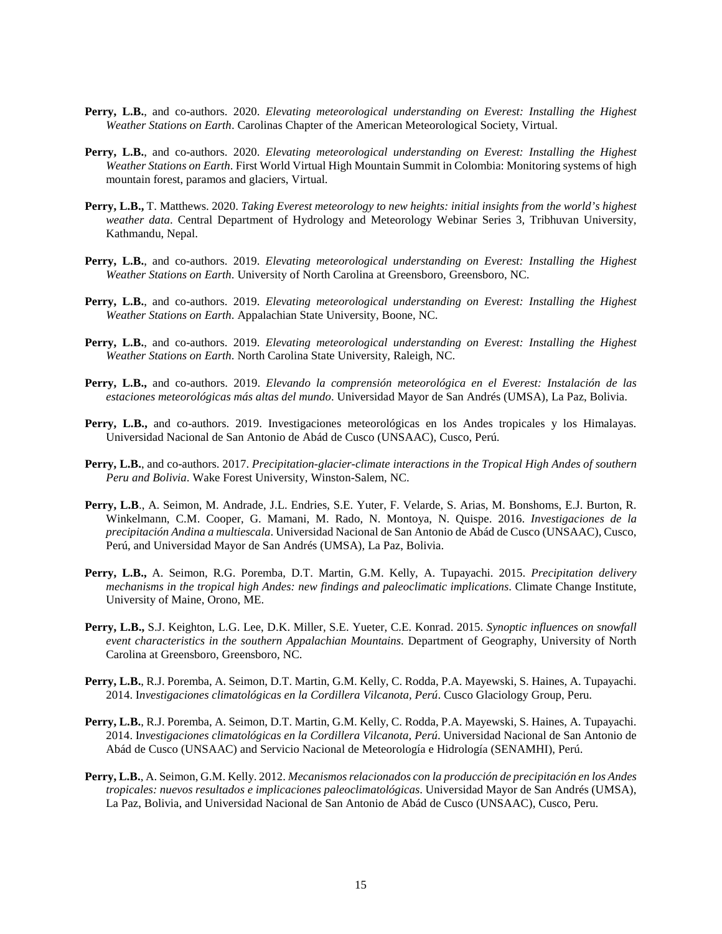- **Perry, L.B.**, and co-authors. 2020. *Elevating meteorological understanding on Everest: Installing the Highest Weather Stations on Earth*. Carolinas Chapter of the American Meteorological Society, Virtual.
- **Perry, L.B.**, and co-authors. 2020. *Elevating meteorological understanding on Everest: Installing the Highest Weather Stations on Earth*. First World Virtual High Mountain Summit in Colombia: Monitoring systems of high mountain forest, paramos and glaciers, Virtual.
- **Perry, L.B.,** T. Matthews. 2020. *Taking Everest meteorology to new heights: initial insights from the world's highest weather data*. Central Department of Hydrology and Meteorology Webinar Series 3, Tribhuvan University, Kathmandu, Nepal.
- **Perry, L.B.**, and co-authors. 2019. *Elevating meteorological understanding on Everest: Installing the Highest Weather Stations on Earth*. University of North Carolina at Greensboro, Greensboro, NC.
- **Perry, L.B.**, and co-authors. 2019. *Elevating meteorological understanding on Everest: Installing the Highest Weather Stations on Earth*. Appalachian State University, Boone, NC.
- **Perry, L.B.**, and co-authors. 2019. *Elevating meteorological understanding on Everest: Installing the Highest Weather Stations on Earth*. North Carolina State University, Raleigh, NC.
- **Perry, L.B.,** and co-authors. 2019. *Elevando la comprensión meteorológica en el Everest: Instalación de las estaciones meteorológicas más altas del mundo*. Universidad Mayor de San Andrés (UMSA), La Paz, Bolivia.
- **Perry, L.B.,** and co-authors. 2019. Investigaciones meteorológicas en los Andes tropicales y los Himalayas. Universidad Nacional de San Antonio de Abád de Cusco (UNSAAC), Cusco, Perú.
- **Perry, L.B.**, and co-authors. 2017. *Precipitation-glacier-climate interactions in the Tropical High Andes of southern Peru and Bolivia*. Wake Forest University, Winston-Salem, NC.
- **Perry, L.B**., A. Seimon, M. Andrade, J.L. Endries, S.E. Yuter, F. Velarde, S. Arias, M. Bonshoms, E.J. Burton, R. Winkelmann, C.M. Cooper, G. Mamani, M. Rado, N. Montoya, N. Quispe. 2016. *Investigaciones de la precipitación Andina a multiescala*. Universidad Nacional de San Antonio de Abád de Cusco (UNSAAC), Cusco, Perú, and Universidad Mayor de San Andrés (UMSA), La Paz, Bolivia.
- **Perry, L.B.,** A. Seimon, R.G. Poremba, D.T. Martin, G.M. Kelly, A. Tupayachi. 2015. *Precipitation delivery mechanisms in the tropical high Andes: new findings and paleoclimatic implications*. Climate Change Institute, University of Maine, Orono, ME.
- **Perry, L.B.,** S.J. Keighton, L.G. Lee, D.K. Miller, S.E. Yueter, C.E. Konrad. 2015. *Synoptic influences on snowfall event characteristics in the southern Appalachian Mountains*. Department of Geography, University of North Carolina at Greensboro, Greensboro, NC.
- **Perry, L.B.**, R.J. Poremba, A. Seimon, D.T. Martin, G.M. Kelly, C. Rodda, P.A. Mayewski, S. Haines, A. Tupayachi. 2014. I*nvestigaciones climatológicas en la Cordillera Vilcanota, Perú*. Cusco Glaciology Group, Peru.
- **Perry, L.B.**, R.J. Poremba, A. Seimon, D.T. Martin, G.M. Kelly, C. Rodda, P.A. Mayewski, S. Haines, A. Tupayachi. 2014. I*nvestigaciones climatológicas en la Cordillera Vilcanota, Perú*. Universidad Nacional de San Antonio de Abád de Cusco (UNSAAC) and Servicio Nacional de Meteorología e Hidrología (SENAMHI), Perú.
- **Perry, L.B.**, A. Seimon, G.M. Kelly. 2012. *Mecanismos relacionados con la producción de precipitación en los Andes tropicales: nuevos resultados e implicaciones paleoclimatológicas*. Universidad Mayor de San Andrés (UMSA), La Paz, Bolivia, and Universidad Nacional de San Antonio de Abád de Cusco (UNSAAC), Cusco, Peru.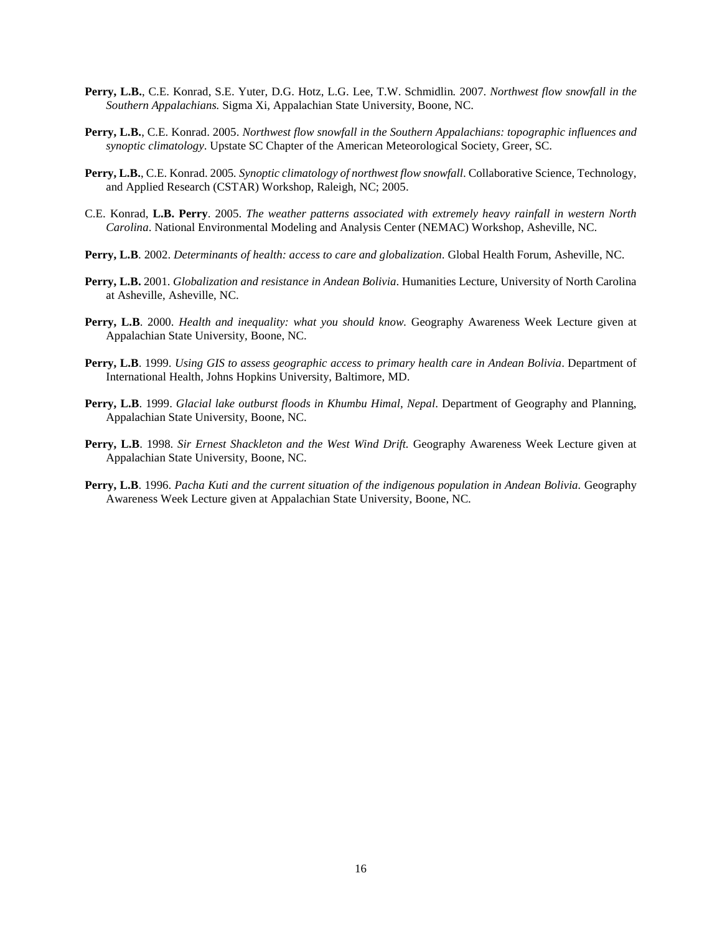- **Perry, L.B.**, C.E. Konrad, S.E. Yuter, D.G. Hotz, L.G. Lee, T.W. Schmidlin*.* 2007. *Northwest flow snowfall in the Southern Appalachians.* Sigma Xi, Appalachian State University, Boone, NC.
- **Perry, L.B.**, C.E. Konrad. 2005. *Northwest flow snowfall in the Southern Appalachians: topographic influences and synoptic climatology*. Upstate SC Chapter of the American Meteorological Society, Greer, SC.
- **Perry, L.B.**, C.E. Konrad. 2005*. Synoptic climatology of northwest flow snowfall*. Collaborative Science, Technology, and Applied Research (CSTAR) Workshop, Raleigh, NC; 2005.
- C.E. Konrad, **L.B. Perry**. 2005. *The weather patterns associated with extremely heavy rainfall in western North Carolina*. National Environmental Modeling and Analysis Center (NEMAC) Workshop, Asheville, NC.
- **Perry, L.B**. 2002. *Determinants of health: access to care and globalization*. Global Health Forum, Asheville, NC.
- **Perry, L.B.** 2001. *Globalization and resistance in Andean Bolivia*. Humanities Lecture, University of North Carolina at Asheville, Asheville, NC.
- **Perry, L.B**. 2000. *Health and inequality: what you should know.* Geography Awareness Week Lecture given at Appalachian State University, Boone, NC.
- **Perry, L.B**. 1999. *Using GIS to assess geographic access to primary health care in Andean Bolivia*. Department of International Health, Johns Hopkins University, Baltimore, MD.
- **Perry, L.B**. 1999. *Glacial lake outburst floods in Khumbu Himal, Nepal*. Department of Geography and Planning, Appalachian State University, Boone, NC.
- **Perry, L.B**. 1998. *Sir Ernest Shackleton and the West Wind Drift.* Geography Awareness Week Lecture given at Appalachian State University, Boone, NC.
- **Perry, L.B**. 1996. *Pacha Kuti and the current situation of the indigenous population in Andean Bolivia.* Geography Awareness Week Lecture given at Appalachian State University, Boone, NC.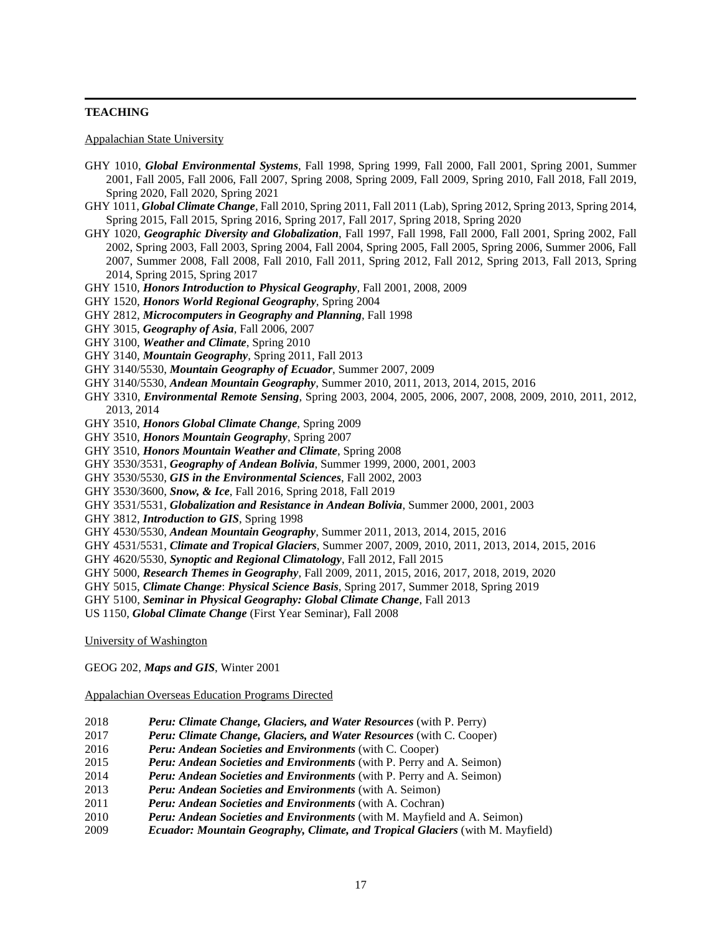# **TEACHING**

Appalachian State University

- GHY 1010, *Global Environmental Systems*, Fall 1998, Spring 1999, Fall 2000, Fall 2001, Spring 2001, Summer 2001, Fall 2005, Fall 2006, Fall 2007, Spring 2008, Spring 2009, Fall 2009, Spring 2010, Fall 2018, Fall 2019, Spring 2020, Fall 2020, Spring 2021
- GHY 1011, *Global Climate Change*, Fall 2010, Spring 2011, Fall 2011 (Lab), Spring 2012, Spring 2013, Spring 2014, Spring 2015, Fall 2015, Spring 2016, Spring 2017, Fall 2017, Spring 2018, Spring 2020
- GHY 1020, *Geographic Diversity and Globalization*, Fall 1997, Fall 1998, Fall 2000, Fall 2001, Spring 2002, Fall 2002, Spring 2003, Fall 2003, Spring 2004, Fall 2004, Spring 2005, Fall 2005, Spring 2006, Summer 2006, Fall 2007, Summer 2008, Fall 2008, Fall 2010, Fall 2011, Spring 2012, Fall 2012, Spring 2013, Fall 2013, Spring 2014, Spring 2015, Spring 2017
- GHY 1510, *Honors Introduction to Physical Geography*, Fall 2001, 2008, 2009
- GHY 1520, *Honors World Regional Geography*, Spring 2004
- GHY 2812, *Microcomputers in Geography and Planning*, Fall 1998
- GHY 3015, *Geography of Asia*, Fall 2006, 2007
- GHY 3100, *Weather and Climate*, Spring 2010
- GHY 3140, *Mountain Geography*, Spring 2011, Fall 2013
- GHY 3140/5530, *Mountain Geography of Ecuador*, Summer 2007, 2009
- GHY 3140/5530, *Andean Mountain Geography*, Summer 2010, 2011, 2013, 2014, 2015, 2016
- GHY 3310, *Environmental Remote Sensing*, Spring 2003, 2004, 2005, 2006, 2007, 2008, 2009, 2010, 2011, 2012, 2013, 2014
- GHY 3510, *Honors Global Climate Change*, Spring 2009
- GHY 3510, *Honors Mountain Geography*, Spring 2007
- GHY 3510, *Honors Mountain Weather and Climate*, Spring 2008
- GHY 3530/3531, *Geography of Andean Bolivia*, Summer 1999, 2000, 2001, 2003
- GHY 3530/5530, *GIS in the Environmental Sciences*, Fall 2002, 2003
- GHY 3530/3600, *Snow, & Ice*, Fall 2016, Spring 2018, Fall 2019
- GHY 3531/5531, *Globalization and Resistance in Andean Bolivia*, Summer 2000, 2001, 2003
- GHY 3812, *Introduction to GIS*, Spring 1998
- GHY 4530/5530, *Andean Mountain Geography*, Summer 2011, 2013, 2014, 2015, 2016
- GHY 4531/5531, *Climate and Tropical Glaciers*, Summer 2007, 2009, 2010, 2011, 2013, 2014, 2015, 2016
- GHY 4620/5530, *Synoptic and Regional Climatology*, Fall 2012, Fall 2015
- GHY 5000, *Research Themes in Geography*, Fall 2009, 2011, 2015, 2016, 2017, 2018, 2019, 2020
- GHY 5015, *Climate Change*: *Physical Science Basis*, Spring 2017, Summer 2018, Spring 2019
- GHY 5100, *Seminar in Physical Geography: Global Climate Change*, Fall 2013
- US 1150, *Global Climate Change* (First Year Seminar), Fall 2008

University of Washington

GEOG 202, *Maps and GIS*, Winter 2001

Appalachian Overseas Education Programs Directed

- 2018 *Peru: Climate Change, Glaciers, and Water Resources* (with P. Perry)
- 2017 *Peru: Climate Change, Glaciers, and Water Resources* (with C. Cooper)
- 2016 *Peru: Andean Societies and Environments* (with C. Cooper)
- 2015 *Peru: Andean Societies and Environments* (with P. Perry and A. Seimon)
- 2014 *Peru: Andean Societies and Environments* (with P. Perry and A. Seimon)
- 2013 *Peru: Andean Societies and Environments* (with A. Seimon)
- 2011 *Peru: Andean Societies and Environments* (with A. Cochran)
- 2010 *Peru: Andean Societies and Environments* (with M. Mayfield and A. Seimon)
- 2009 *Ecuador: Mountain Geography, Climate, and Tropical Glaciers* (with M. Mayfield)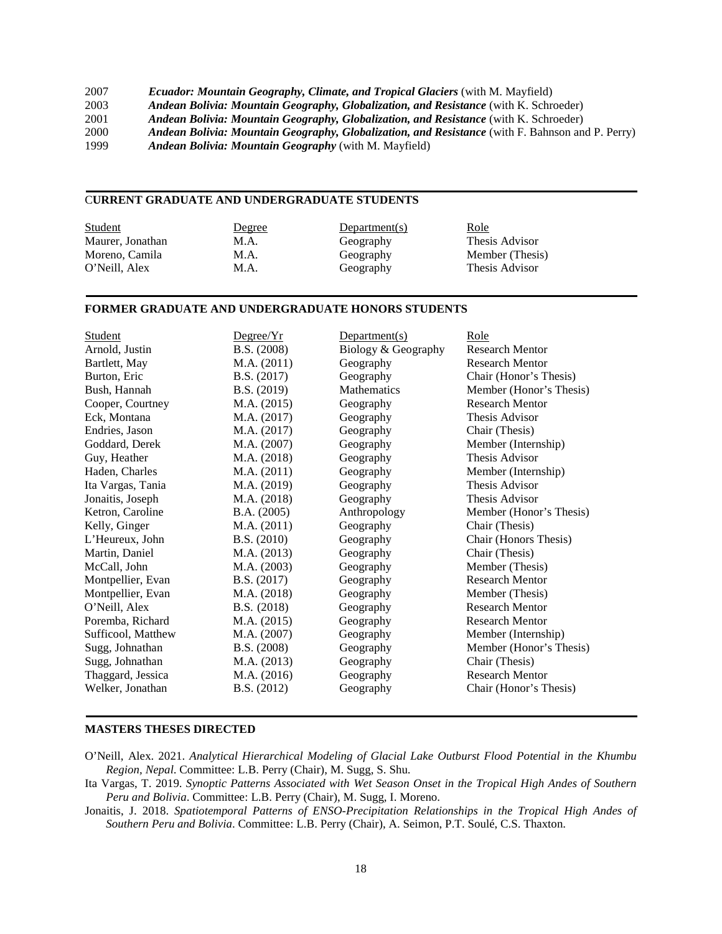| 2007 | <b>Ecuador: Mountain Geography, Climate, and Tropical Glaciers (with M. Mayfield)</b>            |
|------|--------------------------------------------------------------------------------------------------|
| 2003 | Andean Bolivia: Mountain Geography, Globalization, and Resistance (with K. Schroeder)            |
| 2001 | Andean Bolivia: Mountain Geography, Globalization, and Resistance (with K. Schroeder)            |
| 2000 | Andean Bolivia: Mountain Geography, Globalization, and Resistance (with F. Bahnson and P. Perry) |
| 1999 | <b>Andean Bolivia: Mountain Geography</b> (with M. Mayfield)                                     |

## C**URRENT GRADUATE AND UNDERGRADUATE STUDENTS**

| <b>Student</b>   | Degree | Department(s) | <u>Role</u>     |
|------------------|--------|---------------|-----------------|
| Maurer, Jonathan | M.A.   | Geography     | Thesis Advisor  |
| Moreno, Camila   | M.A.   | Geography     | Member (Thesis) |
| O'Neill. Alex    | M.A.   | Geography     | Thesis Advisor  |

# **FORMER GRADUATE AND UNDERGRADUATE HONORS STUDENTS**

| Student            | Degree/Yr   | Department(s)       | Role                    |
|--------------------|-------------|---------------------|-------------------------|
| Arnold, Justin     | B.S. (2008) | Biology & Geography | <b>Research Mentor</b>  |
| Bartlett, May      | M.A. (2011) | Geography           | <b>Research Mentor</b>  |
| Burton, Eric       | B.S. (2017) | Geography           | Chair (Honor's Thesis)  |
| Bush, Hannah       | B.S. (2019) | Mathematics         | Member (Honor's Thesis) |
| Cooper, Courtney   | M.A. (2015) | Geography           | <b>Research Mentor</b>  |
| Eck, Montana       | M.A. (2017) | Geography           | Thesis Advisor          |
| Endries, Jason     | M.A. (2017) | Geography           | Chair (Thesis)          |
| Goddard, Derek     | M.A. (2007) | Geography           | Member (Internship)     |
| Guy, Heather       | M.A. (2018) | Geography           | Thesis Advisor          |
| Haden, Charles     | M.A. (2011) | Geography           | Member (Internship)     |
| Ita Vargas, Tania  | M.A. (2019) | Geography           | Thesis Advisor          |
| Jonaitis, Joseph   | M.A. (2018) | Geography           | Thesis Advisor          |
| Ketron, Caroline   | B.A. (2005) | Anthropology        | Member (Honor's Thesis) |
| Kelly, Ginger      | M.A. (2011) | Geography           | Chair (Thesis)          |
| L'Heureux, John    | B.S. (2010) | Geography           | Chair (Honors Thesis)   |
| Martin, Daniel     | M.A. (2013) | Geography           | Chair (Thesis)          |
| McCall, John       | M.A. (2003) | Geography           | Member (Thesis)         |
| Montpellier, Evan  | B.S. (2017) | Geography           | <b>Research Mentor</b>  |
| Montpellier, Evan  | M.A. (2018) | Geography           | Member (Thesis)         |
| O'Neill, Alex      | B.S. (2018) | Geography           | <b>Research Mentor</b>  |
| Poremba, Richard   | M.A. (2015) | Geography           | <b>Research Mentor</b>  |
| Sufficool, Matthew | M.A. (2007) | Geography           | Member (Internship)     |
| Sugg, Johnathan    | B.S. (2008) | Geography           | Member (Honor's Thesis) |
| Sugg, Johnathan    | M.A. (2013) | Geography           | Chair (Thesis)          |
| Thaggard, Jessica  | M.A. (2016) | Geography           | <b>Research Mentor</b>  |
| Welker, Jonathan   | B.S. (2012) | Geography           | Chair (Honor's Thesis)  |

## **MASTERS THESES DIRECTED**

- O'Neill, Alex. 2021. *Analytical Hierarchical Modeling of Glacial Lake Outburst Flood Potential in the Khumbu Region, Nepal*. Committee: L.B. Perry (Chair), M. Sugg, S. Shu.
- Ita Vargas, T. 2019. *Synoptic Patterns Associated with Wet Season Onset in the Tropical High Andes of Southern Peru and Bolivia*. Committee: L.B. Perry (Chair), M. Sugg, I. Moreno.
- Jonaitis, J. 2018. *Spatiotemporal Patterns of ENSO-Precipitation Relationships in the Tropical High Andes of Southern Peru and Bolivia*. Committee: L.B. Perry (Chair), A. Seimon, P.T. Soulé, C.S. Thaxton.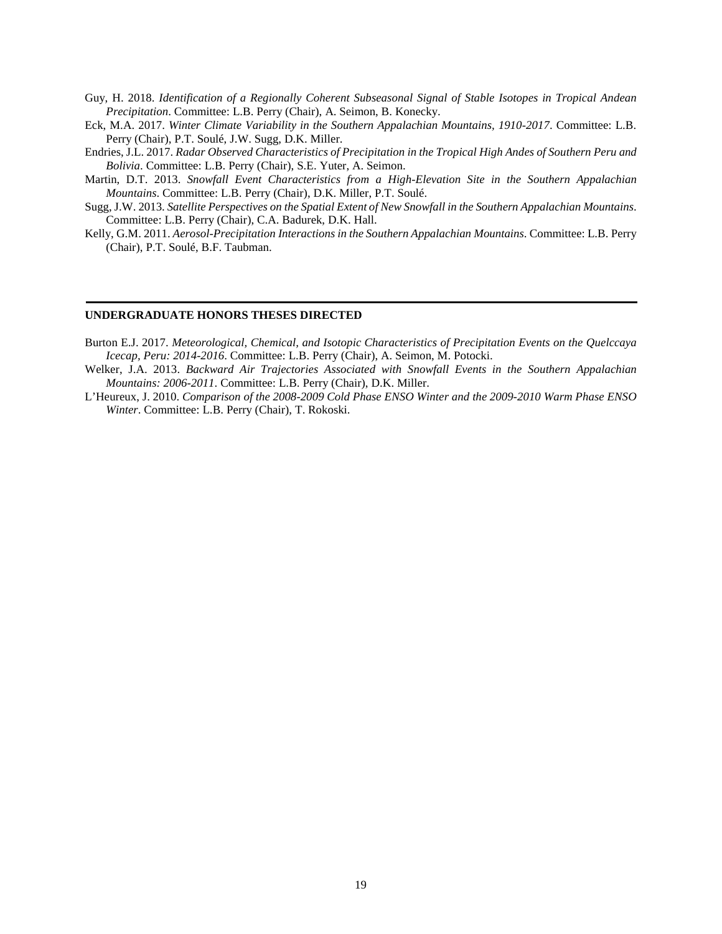- Guy, H. 2018. *Identification of a Regionally Coherent Subseasonal Signal of Stable Isotopes in Tropical Andean Precipitation*. Committee: L.B. Perry (Chair), A. Seimon, B. Konecky.
- Eck, M.A. 2017. *Winter Climate Variability in the Southern Appalachian Mountains, 1910-2017*. Committee: L.B. Perry (Chair), P.T. Soulé, J.W. Sugg, D.K. Miller.
- Endries, J.L. 2017. *Radar Observed Characteristics of Precipitation in the Tropical High Andes of Southern Peru and Bolivia*. Committee: L.B. Perry (Chair), S.E. Yuter, A. Seimon.
- Martin, D.T. 2013. *Snowfall Event Characteristics from a High-Elevation Site in the Southern Appalachian Mountains*. Committee: L.B. Perry (Chair), D.K. Miller, P.T. Soulé.
- Sugg, J.W. 2013. *Satellite Perspectives on the Spatial Extent of New Snowfall in the Southern Appalachian Mountains*. Committee: L.B. Perry (Chair), C.A. Badurek, D.K. Hall.
- Kelly, G.M. 2011. *Aerosol-Precipitation Interactions in the Southern Appalachian Mountains*. Committee: L.B. Perry (Chair), P.T. Soulé, B.F. Taubman.

### **UNDERGRADUATE HONORS THESES DIRECTED**

- Burton E.J. 2017. *Meteorological, Chemical, and Isotopic Characteristics of Precipitation Events on the Quelccaya Icecap, Peru: 2014-2016*. Committee: L.B. Perry (Chair), A. Seimon, M. Potocki.
- Welker, J.A. 2013. *Backward Air Trajectories Associated with Snowfall Events in the Southern Appalachian Mountains: 2006-2011*. Committee: L.B. Perry (Chair), D.K. Miller.
- L'Heureux, J. 2010. *Comparison of the 2008-2009 Cold Phase ENSO Winter and the 2009-2010 Warm Phase ENSO Winter*. Committee: L.B. Perry (Chair), T. Rokoski.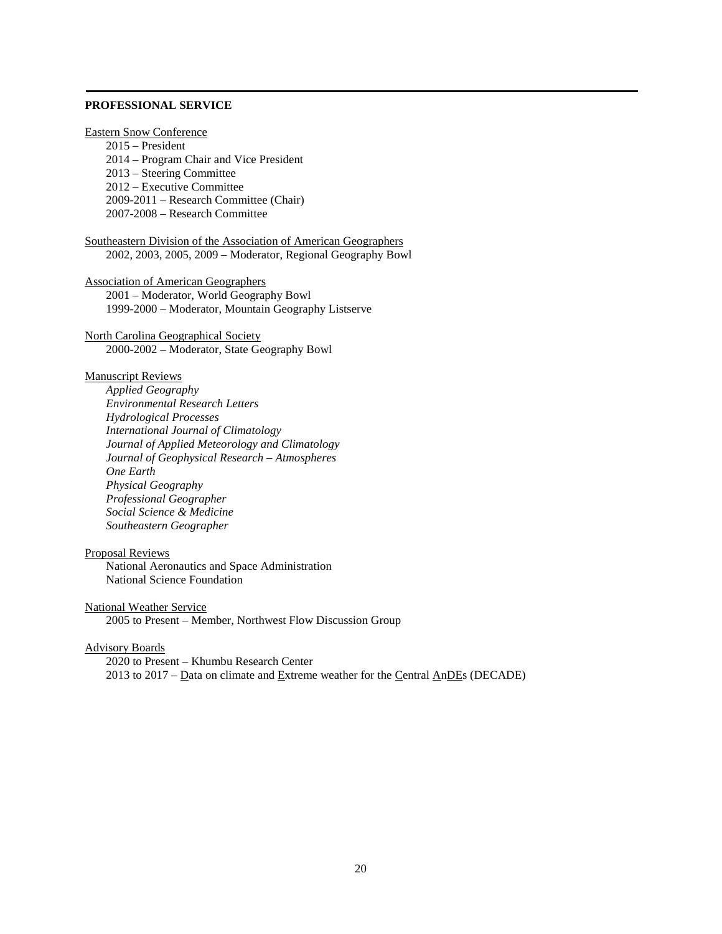# **PROFESSIONAL SERVICE**

Eastern Snow Conference 2015 – President 2014 – Program Chair and Vice President 2013 – Steering Committee 2012 – Executive Committee 2009-2011 – Research Committee (Chair) 2007-2008 – Research Committee

Southeastern Division of the Association of American Geographers 2002, 2003, 2005, 2009 – Moderator, Regional Geography Bowl

Association of American Geographers 2001 – Moderator, World Geography Bowl 1999-2000 – Moderator, Mountain Geography Listserve

North Carolina Geographical Society 2000-2002 – Moderator, State Geography Bowl

# Manuscript Reviews

*Applied Geography Environmental Research Letters Hydrological Processes International Journal of Climatology Journal of Applied Meteorology and Climatology Journal of Geophysical Research – Atmospheres One Earth Physical Geography Professional Geographer Social Science & Medicine Southeastern Geographer*

## Proposal Reviews

National Aeronautics and Space Administration National Science Foundation

### National Weather Service

2005 to Present – Member, Northwest Flow Discussion Group

# Advisory Boards

2020 to Present – Khumbu Research Center 2013 to 2017 – Data on climate and Extreme weather for the Central AnDEs (DECADE)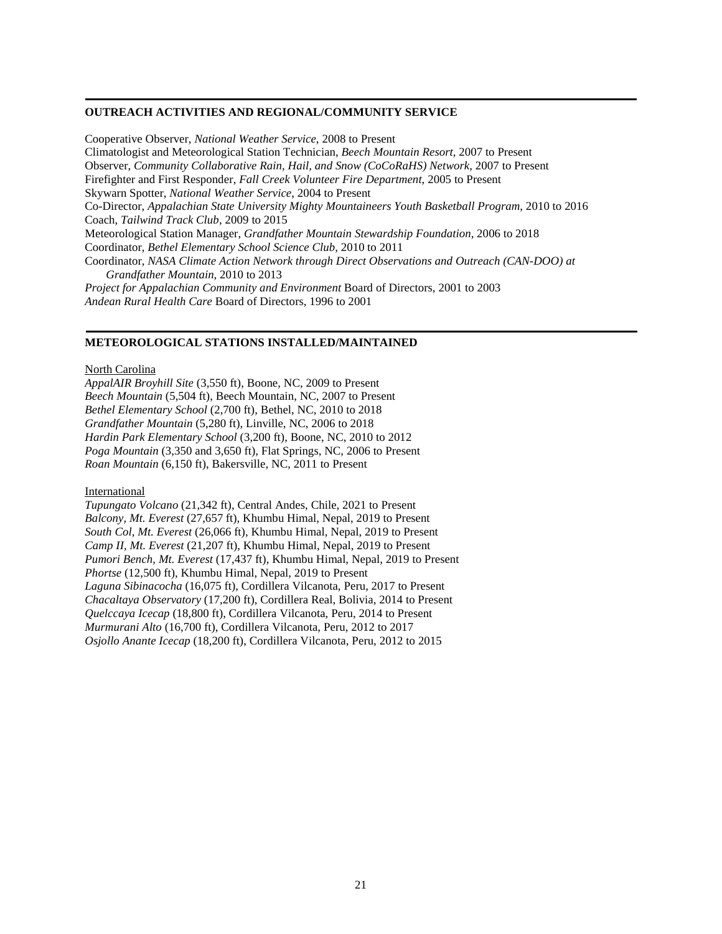### **OUTREACH ACTIVITIES AND REGIONAL/COMMUNITY SERVICE**

Cooperative Observer, *National Weather Service*, 2008 to Present Climatologist and Meteorological Station Technician, *Beech Mountain Resort*, 2007 to Present Observer, *Community Collaborative Rain, Hail, and Snow (CoCoRaHS) Network*, 2007 to Present Firefighter and First Responder, *Fall Creek Volunteer Fire Department*, 2005 to Present Skywarn Spotter, *National Weather Service*, 2004 to Present Co-Director, *Appalachian State University Mighty Mountaineers Youth Basketball Program*, 2010 to 2016 Coach, *Tailwind Track Club*, 2009 to 2015 Meteorological Station Manager, *Grandfather Mountain Stewardship Foundation*, 2006 to 2018 Coordinator, *Bethel Elementary School Science Club*, 2010 to 2011 Coordinator, *NASA Climate Action Network through Direct Observations and Outreach (CAN-DOO) at Grandfather Mountain*, 2010 to 2013 *Project for Appalachian Community and Environment* Board of Directors, 2001 to 2003 *Andean Rural Health Care* Board of Directors, 1996 to 2001

### **METEOROLOGICAL STATIONS INSTALLED/MAINTAINED**

#### North Carolina

*AppalAIR Broyhill Site* (3,550 ft), Boone, NC, 2009 to Present *Beech Mountain* (5,504 ft), Beech Mountain, NC, 2007 to Present *Bethel Elementary School* (2,700 ft), Bethel, NC, 2010 to 2018 *Grandfather Mountain* (5,280 ft), Linville, NC, 2006 to 2018 *Hardin Park Elementary School* (3,200 ft), Boone, NC, 2010 to 2012 *Poga Mountain* (3,350 and 3,650 ft), Flat Springs, NC, 2006 to Present *Roan Mountain* (6,150 ft), Bakersville, NC, 2011 to Present

## **International**

*Tupungato Volcano* (21,342 ft), Central Andes, Chile, 2021 to Present *Balcony, Mt. Everest* (27,657 ft), Khumbu Himal, Nepal, 2019 to Present *South Col, Mt. Everest* (26,066 ft)*,* Khumbu Himal, Nepal, 2019 to Present *Camp II, Mt. Everest* (21,207 ft), Khumbu Himal, Nepal, 2019 to Present *Pumori Bench, Mt. Everest* (17,437 ft), Khumbu Himal, Nepal, 2019 to Present *Phortse* (12,500 ft), Khumbu Himal, Nepal, 2019 to Present *Laguna Sibinacocha* (16,075 ft), Cordillera Vilcanota, Peru, 2017 to Present *Chacaltaya Observatory* (17,200 ft), Cordillera Real, Bolivia, 2014 to Present *Quelccaya Icecap* (18,800 ft), Cordillera Vilcanota, Peru, 2014 to Present *Murmurani Alto* (16,700 ft), Cordillera Vilcanota, Peru, 2012 to 2017 *Osjollo Anante Icecap* (18,200 ft), Cordillera Vilcanota, Peru, 2012 to 2015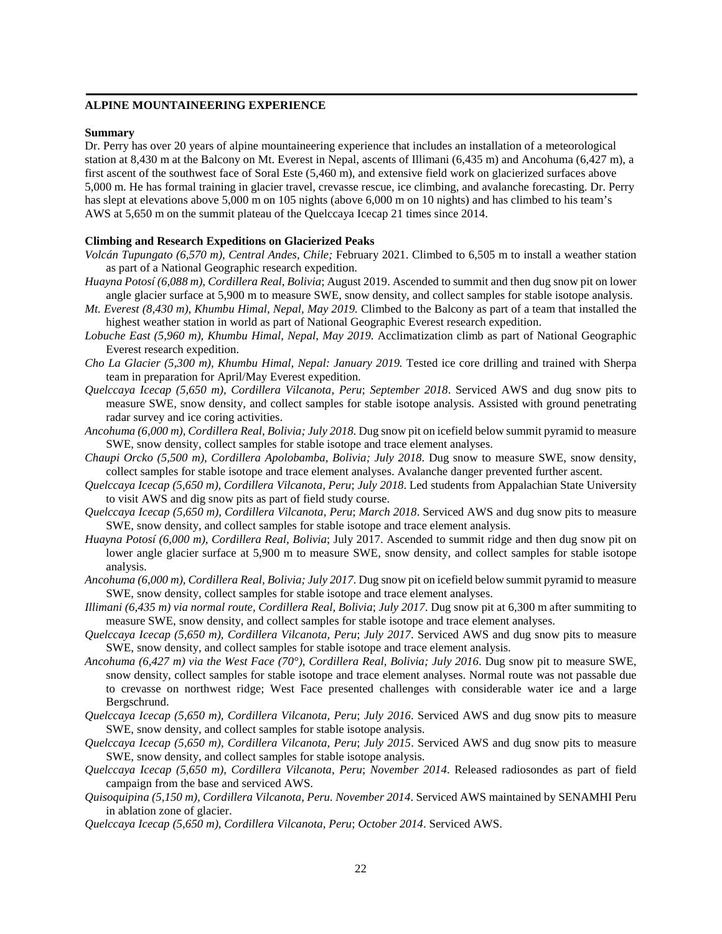## **ALPINE MOUNTAINEERING EXPERIENCE**

#### **Summary**

Dr. Perry has over 20 years of alpine mountaineering experience that includes an installation of a meteorological station at 8,430 m at the Balcony on Mt. Everest in Nepal, ascents of Illimani (6,435 m) and Ancohuma (6,427 m), a first ascent of the southwest face of Soral Este (5,460 m), and extensive field work on glacierized surfaces above 5,000 m. He has formal training in glacier travel, crevasse rescue, ice climbing, and avalanche forecasting. Dr. Perry has slept at elevations above 5,000 m on 105 nights (above 6,000 m on 10 nights) and has climbed to his team's AWS at 5,650 m on the summit plateau of the Quelccaya Icecap 21 times since 2014.

## **Climbing and Research Expeditions on Glacierized Peaks**

- *Volcán Tupungato (6,570 m), Central Andes, Chile;* February 2021. Climbed to 6,505 m to install a weather station as part of a National Geographic research expedition.
- *Huayna Potosí (6,088 m), Cordillera Real, Bolivia*; August 2019. Ascended to summit and then dug snow pit on lower angle glacier surface at 5,900 m to measure SWE, snow density, and collect samples for stable isotope analysis.
- *Mt. Everest (8,430 m), Khumbu Himal, Nepal, May 2019.* Climbed to the Balcony as part of a team that installed the highest weather station in world as part of National Geographic Everest research expedition.
- *Lobuche East (5,960 m), Khumbu Himal, Nepal, May 2019.* Acclimatization climb as part of National Geographic Everest research expedition.
- *Cho La Glacier (5,300 m), Khumbu Himal, Nepal: January 2019.* Tested ice core drilling and trained with Sherpa team in preparation for April/May Everest expedition.
- *Quelccaya Icecap (5,650 m), Cordillera Vilcanota, Peru*; *September 2018*. Serviced AWS and dug snow pits to measure SWE, snow density, and collect samples for stable isotope analysis. Assisted with ground penetrating radar survey and ice coring activities.
- *Ancohuma (6,000 m), Cordillera Real, Bolivia; July 2018*. Dug snow pit on icefield below summit pyramid to measure SWE, snow density, collect samples for stable isotope and trace element analyses.
- *Chaupi Orcko (5,500 m), Cordillera Apolobamba, Bolivia; July 2018*. Dug snow to measure SWE, snow density, collect samples for stable isotope and trace element analyses. Avalanche danger prevented further ascent.
- *Quelccaya Icecap (5,650 m), Cordillera Vilcanota, Peru*; *July 2018*. Led students from Appalachian State University to visit AWS and dig snow pits as part of field study course.
- *Quelccaya Icecap (5,650 m), Cordillera Vilcanota, Peru*; *March 2018*. Serviced AWS and dug snow pits to measure SWE, snow density, and collect samples for stable isotope and trace element analysis.
- *Huayna Potosí (6,000 m), Cordillera Real, Bolivia*; July 2017. Ascended to summit ridge and then dug snow pit on lower angle glacier surface at 5,900 m to measure SWE, snow density, and collect samples for stable isotope analysis.
- *Ancohuma (6,000 m), Cordillera Real, Bolivia; July 2017*. Dug snow pit on icefield below summit pyramid to measure SWE, snow density, collect samples for stable isotope and trace element analyses.
- *Illimani (6,435 m) via normal route, Cordillera Real, Bolivia*; *July 2017*. Dug snow pit at 6,300 m after summiting to measure SWE, snow density, and collect samples for stable isotope and trace element analyses.
- *Quelccaya Icecap (5,650 m), Cordillera Vilcanota, Peru*; *July 2017*. Serviced AWS and dug snow pits to measure SWE, snow density, and collect samples for stable isotope and trace element analysis.
- *Ancohuma (6,427 m) via the West Face (70°), Cordillera Real, Bolivia; July 2016*. Dug snow pit to measure SWE, snow density, collect samples for stable isotope and trace element analyses. Normal route was not passable due to crevasse on northwest ridge; West Face presented challenges with considerable water ice and a large Bergschrund.
- *Quelccaya Icecap (5,650 m), Cordillera Vilcanota, Peru*; *July 2016*. Serviced AWS and dug snow pits to measure SWE, snow density, and collect samples for stable isotope analysis.
- *Quelccaya Icecap (5,650 m), Cordillera Vilcanota, Peru*; *July 2015*. Serviced AWS and dug snow pits to measure SWE, snow density, and collect samples for stable isotope analysis.
- *Quelccaya Icecap (5,650 m), Cordillera Vilcanota, Peru*; *November 2014*. Released radiosondes as part of field campaign from the base and serviced AWS.
- *Quisoquipina (5,150 m), Cordillera Vilcanota, Peru. November 2014*. Serviced AWS maintained by SENAMHI Peru in ablation zone of glacier.
- *Quelccaya Icecap (5,650 m), Cordillera Vilcanota, Peru*; *October 2014*. Serviced AWS.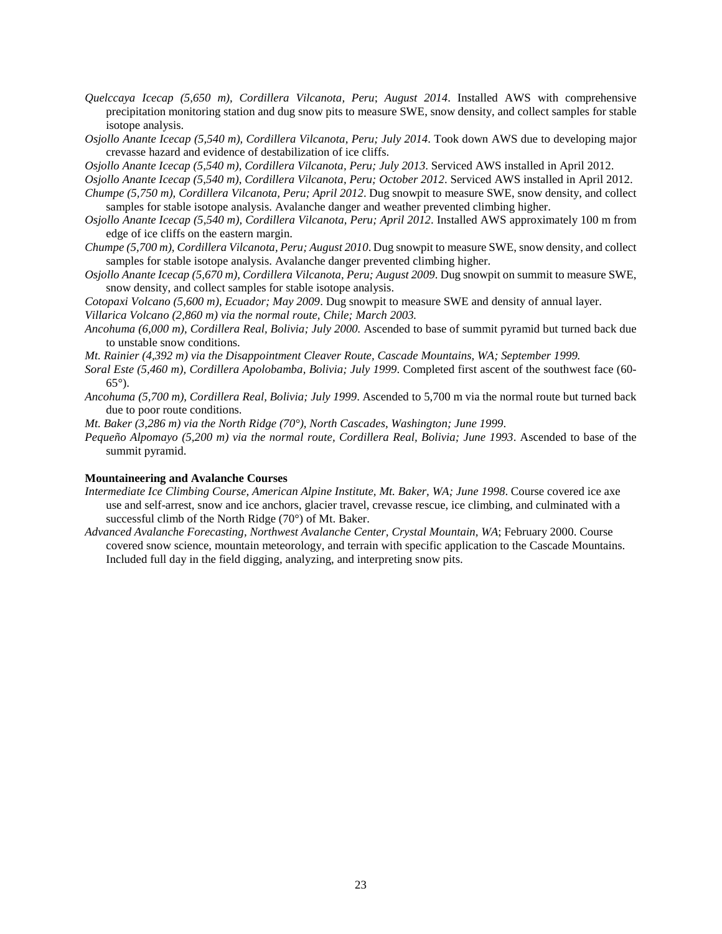- *Quelccaya Icecap (5,650 m), Cordillera Vilcanota, Peru*; *August 2014*. Installed AWS with comprehensive precipitation monitoring station and dug snow pits to measure SWE, snow density, and collect samples for stable isotope analysis.
- *Osjollo Anante Icecap (5,540 m), Cordillera Vilcanota, Peru; July 2014*. Took down AWS due to developing major crevasse hazard and evidence of destabilization of ice cliffs.
- *Osjollo Anante Icecap (5,540 m), Cordillera Vilcanota, Peru; July 2013*. Serviced AWS installed in April 2012.
- *Osjollo Anante Icecap (5,540 m), Cordillera Vilcanota, Peru; October 2012*. Serviced AWS installed in April 2012.
- *Chumpe (5,750 m), Cordillera Vilcanota, Peru; April 2012*. Dug snowpit to measure SWE, snow density, and collect samples for stable isotope analysis. Avalanche danger and weather prevented climbing higher.
- *Osjollo Anante Icecap (5,540 m), Cordillera Vilcanota, Peru; April 2012*. Installed AWS approximately 100 m from edge of ice cliffs on the eastern margin.
- *Chumpe (5,700 m), Cordillera Vilcanota, Peru; August 2010*. Dug snowpit to measure SWE, snow density, and collect samples for stable isotope analysis. Avalanche danger prevented climbing higher.
- *Osjollo Anante Icecap (5,670 m), Cordillera Vilcanota, Peru; August 2009*. Dug snowpit on summit to measure SWE, snow density, and collect samples for stable isotope analysis.
- *Cotopaxi Volcano (5,600 m), Ecuador; May 2009*. Dug snowpit to measure SWE and density of annual layer. *Villarica Volcano (2,860 m) via the normal route, Chile; March 2003.*
- *Ancohuma (6,000 m), Cordillera Real, Bolivia; July 2000.* Ascended to base of summit pyramid but turned back due to unstable snow conditions.
- *Mt. Rainier (4,392 m) via the Disappointment Cleaver Route, Cascade Mountains, WA; September 1999.*
- *Soral Este (5,460 m), Cordillera Apolobamba, Bolivia; July 1999*. Completed first ascent of the southwest face (60- 65°).
- *Ancohuma (5,700 m), Cordillera Real, Bolivia; July 1999*. Ascended to 5,700 m via the normal route but turned back due to poor route conditions.
- *Mt. Baker (3,286 m) via the North Ridge (70°), North Cascades, Washington; June 1999*.
- *Pequeño Alpomayo (5,200 m) via the normal route, Cordillera Real, Bolivia; June 1993*. Ascended to base of the summit pyramid.

### **Mountaineering and Avalanche Courses**

- *Intermediate Ice Climbing Course, American Alpine Institute, Mt. Baker, WA; June 1998*. Course covered ice axe use and self-arrest, snow and ice anchors, glacier travel, crevasse rescue, ice climbing, and culminated with a successful climb of the North Ridge (70°) of Mt. Baker.
- *Advanced Avalanche Forecasting, Northwest Avalanche Center, Crystal Mountain, WA*; February 2000. Course covered snow science, mountain meteorology, and terrain with specific application to the Cascade Mountains. Included full day in the field digging, analyzing, and interpreting snow pits.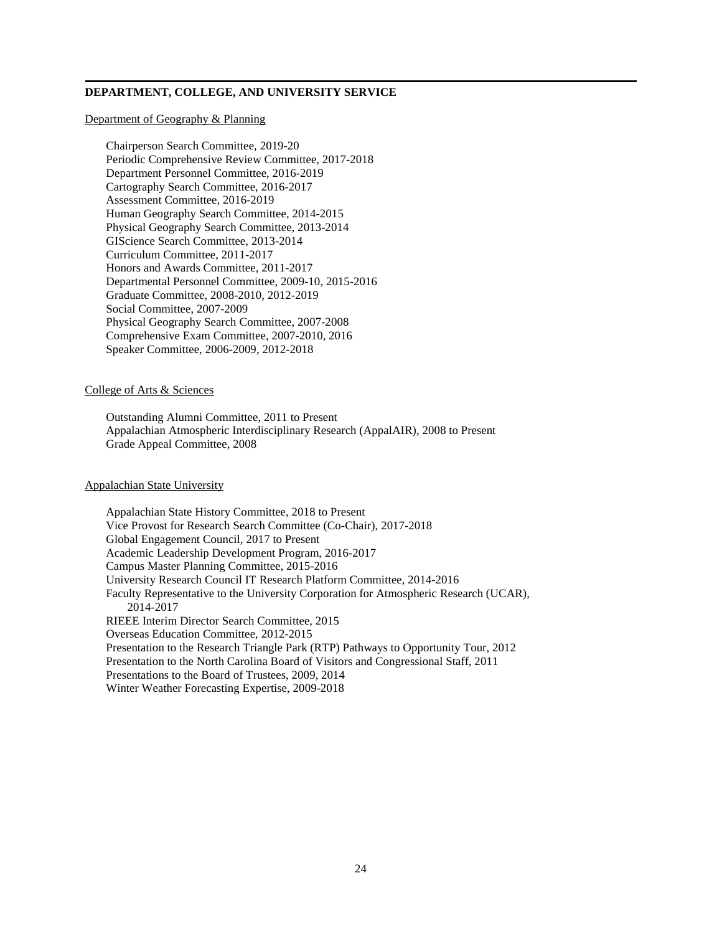# **DEPARTMENT, COLLEGE, AND UNIVERSITY SERVICE**

#### Department of Geography & Planning

Chairperson Search Committee, 2019-20 Periodic Comprehensive Review Committee, 2017-2018 Department Personnel Committee, 2016-2019 Cartography Search Committee, 2016-2017 Assessment Committee, 2016-2019 Human Geography Search Committee, 2014-2015 Physical Geography Search Committee, 2013-2014 GIScience Search Committee, 2013-2014 Curriculum Committee, 2011-2017 Honors and Awards Committee, 2011-2017 Departmental Personnel Committee, 2009-10, 2015-2016 Graduate Committee, 2008-2010, 2012-2019 Social Committee, 2007-2009 Physical Geography Search Committee, 2007-2008 Comprehensive Exam Committee, 2007-2010, 2016 Speaker Committee, 2006-2009, 2012-2018

# College of Arts & Sciences

Outstanding Alumni Committee, 2011 to Present Appalachian Atmospheric Interdisciplinary Research (AppalAIR), 2008 to Present Grade Appeal Committee, 2008

# Appalachian State University

Appalachian State History Committee, 2018 to Present Vice Provost for Research Search Committee (Co-Chair), 2017-2018 Global Engagement Council, 2017 to Present Academic Leadership Development Program, 2016-2017 Campus Master Planning Committee, 2015-2016 University Research Council IT Research Platform Committee, 2014-2016 Faculty Representative to the University Corporation for Atmospheric Research (UCAR), 2014-2017 RIEEE Interim Director Search Committee, 2015 Overseas Education Committee, 2012-2015 Presentation to the Research Triangle Park (RTP) Pathways to Opportunity Tour, 2012 Presentation to the North Carolina Board of Visitors and Congressional Staff, 2011 Presentations to the Board of Trustees, 2009, 2014 Winter Weather Forecasting Expertise, 2009-2018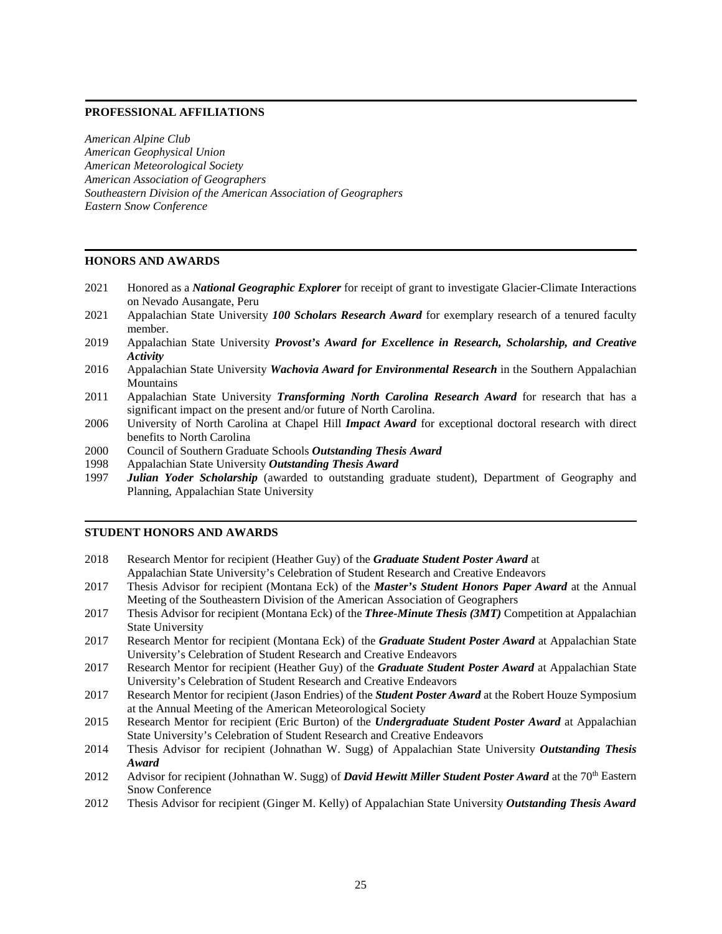# **PROFESSIONAL AFFILIATIONS**

*American Alpine Club American Geophysical Union American Meteorological Society American Association of Geographers Southeastern Division of the American Association of Geographers Eastern Snow Conference*

# **HONORS AND AWARDS**

- 2021 Honored as a *National Geographic Explorer* for receipt of grant to investigate Glacier-Climate Interactions on Nevado Ausangate, Peru
- 2021 Appalachian State University *100 Scholars Research Award* for exemplary research of a tenured faculty member.
- 2019 Appalachian State University *Provost's Award for Excellence in Research, Scholarship, and Creative Activity*
- 2016 Appalachian State University *Wachovia Award for Environmental Research* in the Southern Appalachian **Mountains**
- 2011 Appalachian State University *Transforming North Carolina Research Award* for research that has a significant impact on the present and/or future of North Carolina.
- 2006 University of North Carolina at Chapel Hill *Impact Award* for exceptional doctoral research with direct benefits to North Carolina
- 2000 Council of Southern Graduate Schools *Outstanding Thesis Award*
- 1998 Appalachian State University *Outstanding Thesis Award*
- 1997 *Julian Yoder Scholarship* (awarded to outstanding graduate student), Department of Geography and Planning, Appalachian State University

# **STUDENT HONORS AND AWARDS**

- 2018 Research Mentor for recipient (Heather Guy) of the *Graduate Student Poster Award* at Appalachian State University's Celebration of Student Research and Creative Endeavors
- 2017 Thesis Advisor for recipient (Montana Eck) of the *Master's Student Honors Paper Award* at the Annual Meeting of the Southeastern Division of the American Association of Geographers
- 2017 Thesis Advisor for recipient (Montana Eck) of the *Three-Minute Thesis (3MT)* Competition at Appalachian State University
- 2017 Research Mentor for recipient (Montana Eck) of the *Graduate Student Poster Award* at Appalachian State University's Celebration of Student Research and Creative Endeavors
- 2017 Research Mentor for recipient (Heather Guy) of the *Graduate Student Poster Award* at Appalachian State University's Celebration of Student Research and Creative Endeavors
- 2017 Research Mentor for recipient (Jason Endries) of the *Student Poster Award* at the Robert Houze Symposium at the Annual Meeting of the American Meteorological Society
- 2015 Research Mentor for recipient (Eric Burton) of the *Undergraduate Student Poster Award* at Appalachian State University's Celebration of Student Research and Creative Endeavors
- 2014 Thesis Advisor for recipient (Johnathan W. Sugg) of Appalachian State University *Outstanding Thesis Award*
- 2012 Advisor for recipient (Johnathan W. Sugg) of *David Hewitt Miller Student Poster Award* at the 70<sup>th</sup> Eastern Snow Conference
- 2012 Thesis Advisor for recipient (Ginger M. Kelly) of Appalachian State University *Outstanding Thesis Award*